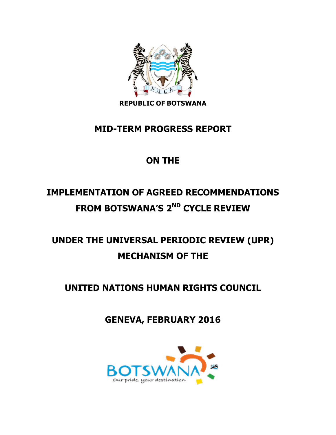

**REPUBLIC OF BOTSWANA**

## **MID-TERM PROGRESS REPORT**

## **ON THE**

# **IMPLEMENTATION OF AGREED RECOMMENDATIONS FROM BOTSWANA'S 2ND CYCLE REVIEW**

# **UNDER THE UNIVERSAL PERIODIC REVIEW (UPR) MECHANISM OF THE**

## **UNITED NATIONS HUMAN RIGHTS COUNCIL**

**GENEVA, FEBRUARY 2016**

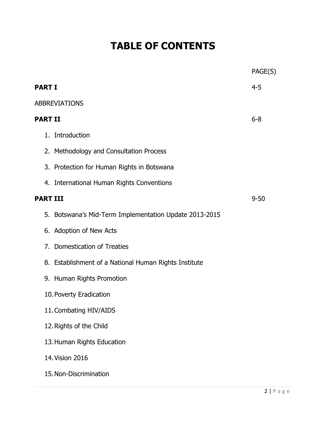# **TABLE OF CONTENTS**

|                |                                                        | PAGE(S)  |
|----------------|--------------------------------------------------------|----------|
| <b>PART I</b>  |                                                        | $4 - 5$  |
|                | <b>ABBREVIATIONS</b>                                   |          |
| <b>PART II</b> |                                                        | $6 - 8$  |
|                | 1. Introduction                                        |          |
|                | 2. Methodology and Consultation Process                |          |
|                | 3. Protection for Human Rights in Botswana             |          |
|                | 4. International Human Rights Conventions              |          |
|                | <b>PART III</b>                                        | $9 - 50$ |
|                | 5. Botswana's Mid-Term Implementation Update 2013-2015 |          |
|                | 6. Adoption of New Acts                                |          |
|                | 7. Domestication of Treaties                           |          |
|                | 8. Establishment of a National Human Rights Institute  |          |
|                | 9. Human Rights Promotion                              |          |
|                | 10. Poverty Eradication                                |          |
|                | 11. Combating HIV/AIDS                                 |          |
|                | 12. Rights of the Child                                |          |
|                | 13. Human Rights Education                             |          |
|                | 14. Vision 2016                                        |          |
|                | 15. Non-Discrimination                                 |          |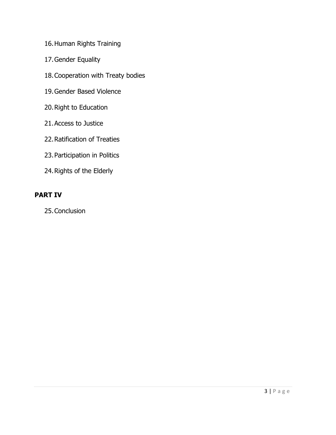- 16.Human Rights Training
- 17.Gender Equality
- 18.Cooperation with Treaty bodies
- 19.Gender Based Violence
- 20.Right to Education
- 21.Access to Justice
- 22.Ratification of Treaties
- 23.Participation in Politics
- 24.Rights of the Elderly

### **PART IV**

25.Conclusion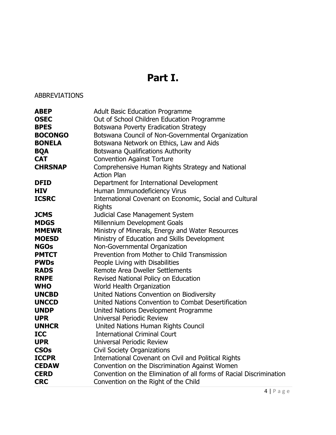## **Part I.**

## ABBREVIATIONS

| <b>ABEP</b>    | <b>Adult Basic Education Programme</b>                              |
|----------------|---------------------------------------------------------------------|
| <b>OSEC</b>    | Out of School Children Education Programme                          |
| <b>BPES</b>    | Botswana Poverty Eradication Strategy                               |
| <b>BOCONGO</b> | Botswana Council of Non-Governmental Organization                   |
| <b>BONELA</b>  | Botswana Network on Ethics, Law and Aids                            |
| <b>BQA</b>     | Botswana Qualifications Authority                                   |
| <b>CAT</b>     | <b>Convention Against Torture</b>                                   |
| <b>CHRSNAP</b> | Comprehensive Human Rights Strategy and National                    |
|                | <b>Action Plan</b>                                                  |
| <b>DFID</b>    | Department for International Development                            |
| <b>HIV</b>     | Human Immunodeficiency Virus                                        |
| <b>ICSRC</b>   | International Covenant on Economic, Social and Cultural             |
|                | <b>Rights</b>                                                       |
| <b>JCMS</b>    | Judicial Case Management System                                     |
| <b>MDGS</b>    | Millennium Development Goals                                        |
| <b>MMEWR</b>   | Ministry of Minerals, Energy and Water Resources                    |
| <b>MOESD</b>   | Ministry of Education and Skills Development                        |
| <b>NGOs</b>    | Non-Governmental Organization                                       |
| <b>PMTCT</b>   | Prevention from Mother to Child Transmission                        |
| <b>PWDs</b>    | People Living with Disabilities                                     |
| <b>RADS</b>    | Remote Area Dweller Settlements                                     |
| <b>RNPE</b>    | Revised National Policy on Education                                |
| <b>WHO</b>     | World Health Organization                                           |
| <b>UNCBD</b>   | United Nations Convention on Biodiversity                           |
| <b>UNCCD</b>   | United Nations Convention to Combat Desertification                 |
| <b>UNDP</b>    | United Nations Development Programme                                |
| <b>UPR</b>     | Universal Periodic Review                                           |
| <b>UNHCR</b>   | United Nations Human Rights Council                                 |
| <b>ICC</b>     | <b>International Criminal Court</b>                                 |
| <b>UPR</b>     | Universal Periodic Review                                           |
| <b>CSOs</b>    | <b>Civil Society Organizations</b>                                  |
| <b>ICCPR</b>   | International Covenant on Civil and Political Rights                |
| <b>CEDAW</b>   | Convention on the Discrimination Against Women                      |
| <b>CERD</b>    | Convention on the Elimination of all forms of Racial Discrimination |
| <b>CRC</b>     | Convention on the Right of the Child                                |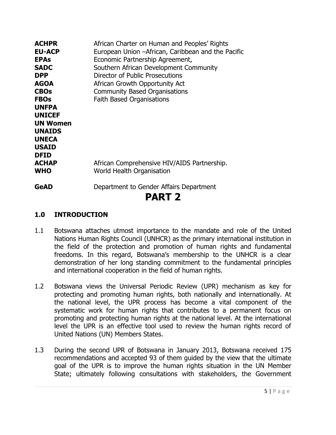| <b>ACHPR</b>    | African Charter on Human and Peoples' Rights       |
|-----------------|----------------------------------------------------|
| <b>EU-ACP</b>   | European Union -African, Caribbean and the Pacific |
| <b>EPAs</b>     | Economic Partnership Agreement,                    |
| <b>SADC</b>     | Southern African Development Community             |
| <b>DPP</b>      | <b>Director of Public Prosecutions</b>             |
| <b>AGOA</b>     | African Growth Opportunity Act                     |
| <b>CBOs</b>     | <b>Community Based Organisations</b>               |
| <b>FBOs</b>     | <b>Faith Based Organisations</b>                   |
| <b>UNFPA</b>    |                                                    |
| <b>UNICEF</b>   |                                                    |
| <b>UN Women</b> |                                                    |
| <b>UNAIDS</b>   |                                                    |
| <b>UNECA</b>    |                                                    |
| <b>USAID</b>    |                                                    |
| <b>DFID</b>     |                                                    |
| <b>ACHAP</b>    | African Comprehensive HIV/AIDS Partnership.        |
| <b>WHO</b>      | World Health Organisation                          |
| <b>GeAD</b>     | Department to Gender Affairs Department            |
|                 | <b>PART 2</b>                                      |
|                 |                                                    |

#### **1.0 INTRODUCTION**

- 1.1 Botswana attaches utmost importance to the mandate and role of the United Nations Human Rights Council (UNHCR) as the primary international institution in the field of the protection and promotion of human rights and fundamental freedoms. In this regard, Botswana's membership to the UNHCR is a clear demonstration of her long standing commitment to the fundamental principles and international cooperation in the field of human rights.
- 1.2 Botswana views the Universal Periodic Review (UPR) mechanism as key for protecting and promoting human rights, both nationally and internationally. At the national level, the UPR process has become a vital component of the systematic work for human rights that contributes to a permanent focus on promoting and protecting human rights at the national level. At the international level the UPR is an effective tool used to review the human rights record of United Nations (UN) Members States.
- 1.3 During the second UPR of Botswana in January 2013, Botswana received 175 recommendations and accepted 93 of them guided by the view that the ultimate goal of the UPR is to improve the human rights situation in the UN Member State; ultimately following consultations with stakeholders, the Government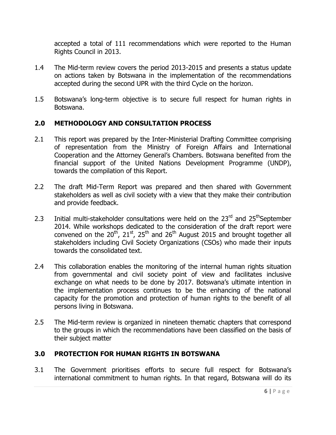accepted a total of 111 recommendations which were reported to the Human Rights Council in 2013.

- 1.4 The Mid-term review covers the period 2013-2015 and presents a status update on actions taken by Botswana in the implementation of the recommendations accepted during the second UPR with the third Cycle on the horizon.
- 1.5 Botswana's long-term objective is to secure full respect for human rights in Botswana.

#### **2.0 METHODOLOGY AND CONSULTATION PROCESS**

- 2.1 This report was prepared by the Inter-Ministerial Drafting Committee comprising of representation from the Ministry of Foreign Affairs and International Cooperation and the Attorney General's Chambers. Botswana benefited from the financial support of the United Nations Development Programme (UNDP), towards the compilation of this Report.
- 2.2 The draft Mid-Term Report was prepared and then shared with Government stakeholders as well as civil society with a view that they make their contribution and provide feedback.
- 2.3 Initial multi-stakeholder consultations were held on the  $23<sup>rd</sup>$  and  $25<sup>th</sup>$ September 2014. While workshops dedicated to the consideration of the draft report were convened on the 20<sup>th</sup>, 21<sup>st</sup>, 25<sup>th</sup> and 26<sup>th</sup> August 2015 and brought together all stakeholders including Civil Society Organizations (CSOs) who made their inputs towards the consolidated text.
- 2.4 This collaboration enables the monitoring of the internal human rights situation from governmental and civil society point of view and facilitates inclusive exchange on what needs to be done by 2017. Botswana's ultimate intention in the implementation process continues to be the enhancing of the national capacity for the promotion and protection of human rights to the benefit of all persons living in Botswana.
- 2.5 The Mid-term review is organized in nineteen thematic chapters that correspond to the groups in which the recommendations have been classified on the basis of their subject matter

#### **3.0 PROTECTION FOR HUMAN RIGHTS IN BOTSWANA**

3.1 The Government prioritises efforts to secure full respect for Botswana's international commitment to human rights. In that regard, Botswana will do its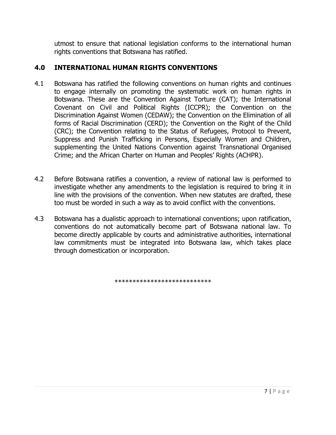utmost to ensure that national legislation conforms to the international human rights conventions that Botswana has ratified.

### **4.0 INTERNATIONAL HUMAN RIGHTS CONVENTIONS**

- 4.1 Botswana has ratified the following conventions on human rights and continues to engage internally on promoting the systematic work on human rights in Botswana. These are the Convention Against Torture (CAT); the International Covenant on Civil and Political Rights (ICCPR); the Convention on the Discrimination Against Women (CEDAW); the Convention on the Elimination of all forms of Racial Discrimination (CERD); the Convention on the Right of the Child (CRC); the Convention relating to the Status of Refugees, Protocol to Prevent, Suppress and Punish Trafficking in Persons, Especially Women and Children, supplementing the United Nations Convention against Transnational Organised Crime; and the African Charter on Human and Peoples' Rights (ACHPR).
- 4.2 Before Botswana ratifies a convention, a review of national law is performed to investigate whether any amendments to the legislation is required to bring it in line with the provisions of the convention. When new statutes are drafted, these too must be worded in such a way as to avoid conflict with the conventions.
- 4.3 Botswana has a dualistic approach to international conventions; upon ratification, conventions do not automatically become part of Botswana national law. To become directly applicable by courts and administrative authorities, international law commitments must be integrated into Botswana law, which takes place through domestication or incorporation.

\*\*\*\*\*\*\*\*\*\*\*\*\*\*\*\*\*\*\*\*\*\*\*\*\*\*\*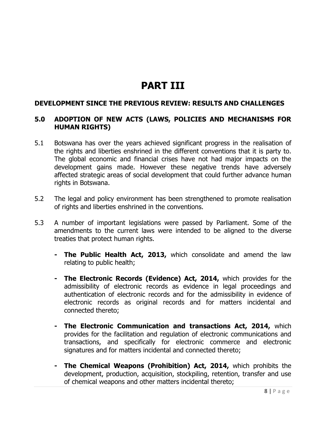## **PART III**

#### **DEVELOPMENT SINCE THE PREVIOUS REVIEW: RESULTS AND CHALLENGES**

#### **5.0 ADOPTION OF NEW ACTS (LAWS, POLICIES AND MECHANISMS FOR HUMAN RIGHTS)**

- 5.1 Botswana has over the years achieved significant progress in the realisation of the rights and liberties enshrined in the different conventions that it is party to. The global economic and financial crises have not had major impacts on the development gains made. However these negative trends have adversely affected strategic areas of social development that could further advance human rights in Botswana.
- 5.2 The legal and policy environment has been strengthened to promote realisation of rights and liberties enshrined in the conventions.
- 5.3 A number of important legislations were passed by Parliament. Some of the amendments to the current laws were intended to be aligned to the diverse treaties that protect human rights.
	- **- The Public Health Act, 2013,** which consolidate and amend the law relating to public health;
	- **- The Electronic Records (Evidence) Act, 2014,** which provides for the admissibility of electronic records as evidence in legal proceedings and authentication of electronic records and for the admissibility in evidence of electronic records as original records and for matters incidental and connected thereto;
	- **- The Electronic Communication and transactions Act, 2014,** which provides for the facilitation and regulation of electronic communications and transactions, and specifically for electronic commerce and electronic signatures and for matters incidental and connected thereto;
	- **- The Chemical Weapons (Prohibition) Act, 2014,** which prohibits the development, production, acquisition, stockpiling, retention, transfer and use of chemical weapons and other matters incidental thereto;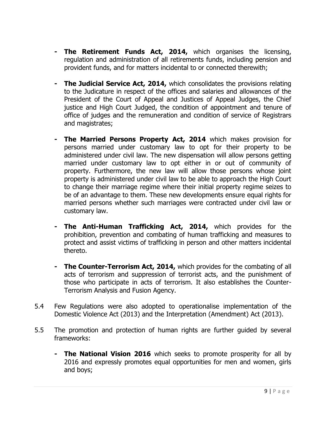- **- The Retirement Funds Act, 2014,** which organises the licensing, regulation and administration of all retirements funds, including pension and provident funds, and for matters incidental to or connected therewith;
- **- The Judicial Service Act, 2014,** which consolidates the provisions relating to the Judicature in respect of the offices and salaries and allowances of the President of the Court of Appeal and Justices of Appeal Judges, the Chief justice and High Court Judged, the condition of appointment and tenure of office of judges and the remuneration and condition of service of Registrars and magistrates;
- **- The Married Persons Property Act, 2014** which makes provision for persons married under customary law to opt for their property to be administered under civil law. The new dispensation will allow persons getting married under customary law to opt either in or out of community of property. Furthermore, the new law will allow those persons whose joint property is administered under civil law to be able to approach the High Court to change their marriage regime where their initial property regime seizes to be of an advantage to them. These new developments ensure equal rights for married persons whether such marriages were contracted under civil law or customary law.
- **- The Anti-Human Trafficking Act, 2014,** which provides for the prohibition, prevention and combating of human trafficking and measures to protect and assist victims of trafficking in person and other matters incidental thereto.
- **- The Counter-Terrorism Act, 2014,** which provides for the combating of all acts of terrorism and suppression of terrorist acts, and the punishment of those who participate in acts of terrorism. It also establishes the Counter-Terrorism Analysis and Fusion Agency.
- 5.4 Few Regulations were also adopted to operationalise implementation of the Domestic Violence Act (2013) and the Interpretation (Amendment) Act (2013).
- 5.5 The promotion and protection of human rights are further guided by several frameworks:
	- **- The National Vision 2016** which seeks to promote prosperity for all by 2016 and expressly promotes equal opportunities for men and women, girls and boys;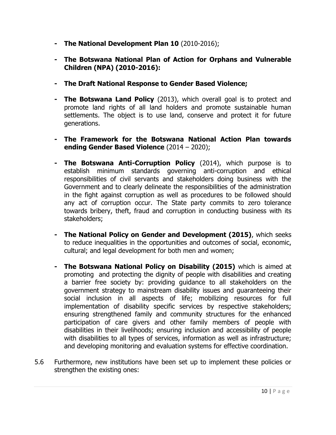- **- The National Development Plan 10** (2010-2016);
- **- The Botswana National Plan of Action for Orphans and Vulnerable Children (NPA) (2010-2016):**
- **- The Draft National Response to Gender Based Violence;**
- **- The Botswana Land Policy** (2013), which overall goal is to protect and promote land rights of all land holders and promote sustainable human settlements. The object is to use land, conserve and protect it for future generations.
- **- The Framework for the Botswana National Action Plan towards ending Gender Based Violence** (2014 – 2020);
- **- The Botswana Anti-Corruption Policy** (2014), which purpose is to establish minimum standards governing anti-corruption and ethical responsibilities of civil servants and stakeholders doing business with the Government and to clearly delineate the responsibilities of the administration in the fight against corruption as well as procedures to be followed should any act of corruption occur. The State party commits to zero tolerance towards bribery, theft, fraud and corruption in conducting business with its stakeholders;
- **- The National Policy on Gender and Development (2015)**, which seeks to reduce inequalities in the opportunities and outcomes of social, economic, cultural; and legal development for both men and women;
- **- The Botswana National Policy on Disability (2015)** which is aimed at promoting and protecting the dignity of people with disabilities and creating a barrier free society by: providing guidance to all stakeholders on the government strategy to mainstream disability issues and guaranteeing their social inclusion in all aspects of life; mobilizing resources for full implementation of disability specific services by respective stakeholders; ensuring strengthened family and community structures for the enhanced participation of care givers and other family members of people with disabilities in their livelihoods; ensuring inclusion and accessibility of people with disabilities to all types of services, information as well as infrastructure; and developing monitoring and evaluation systems for effective coordination.
- 5.6 Furthermore, new institutions have been set up to implement these policies or strengthen the existing ones: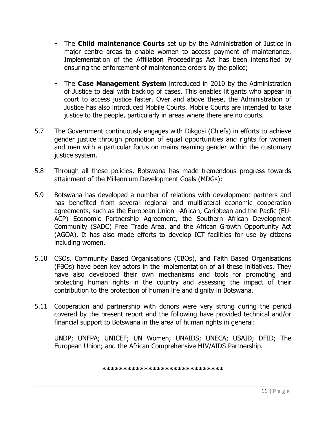- **-** The **Child maintenance Courts** set up by the Administration of Justice in major centre areas to enable women to access payment of maintenance. Implementation of the Affiliation Proceedings Act has been intensified by ensuring the enforcement of maintenance orders by the police;
- **-** The **Case Management System** introduced in 2010 by the Administration of Justice to deal with backlog of cases. This enables litigants who appear in court to access justice faster. Over and above these, the Administration of Justice has also introduced Mobile Courts. Mobile Courts are intended to take justice to the people, particularly in areas where there are no courts.
- 5.7 The Government continuously engages with Dikgosi (Chiefs) in efforts to achieve gender justice through promotion of equal opportunities and rights for women and men with a particular focus on mainstreaming gender within the customary justice system.
- 5.8 Through all these policies, Botswana has made tremendous progress towards attainment of the Millennium Development Goals (MDGs):
- 5.9 Botswana has developed a number of relations with development partners and has benefited from several regional and multilateral economic cooperation agreements, such as the European Union –African, Caribbean and the Pacfic (EU-ACP) Economic Partnership Agreement, the Southern African Development Community (SADC) Free Trade Area, and the African Growth Opportunity Act (AGOA). It has also made efforts to develop ICT facilities for use by citizens including women.
- 5.10 CSOs, Community Based Organisations (CBOs), and Faith Based Organisations (FBOs) have been key actors in the implementation of all these initiatives. They have also developed their own mechanisms and tools for promoting and protecting human rights in the country and assessing the impact of their contribution to the protection of human life and dignity in Botswana.
- 5.11 Cooperation and partnership with donors were very strong during the period covered by the present report and the following have provided technical and/or financial support to Botswana in the area of human rights in general:

UNDP; UNFPA; UNICEF; UN Women; UNAIDS; UNECA; USAID; DFID; The European Union; and the African Comprehensive HIV/AIDS Partnership.

**\*\*\*\*\*\*\*\*\*\*\*\*\*\*\*\*\*\*\*\*\*\*\*\*\*\*\*\*\***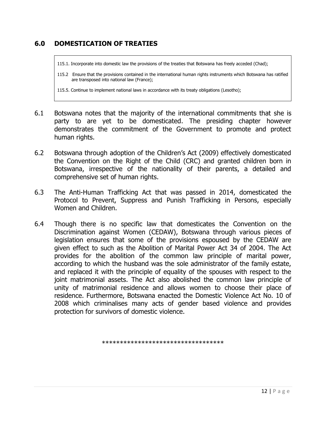## **6.0 DOMESTICATION OF TREATIES**

115.1. Incorporate into domestic law the provisions of the treaties that Botswana has freely acceded (Chad);

115.2 Ensure that the provisions contained in the international human rights instruments which Botswana has ratified are transposed into national law (France);

115.5. Continue to implement national laws in accordance with its treaty obligations (Lesotho);

- 6.1 Botswana notes that the majority of the international commitments that she is party to are yet to be domesticated. The presiding chapter however demonstrates the commitment of the Government to promote and protect human rights.
- 6.2 Botswana through adoption of the Children's Act (2009) effectively domesticated the Convention on the Right of the Child (CRC) and granted children born in Botswana, irrespective of the nationality of their parents, a detailed and comprehensive set of human rights.
- 6.3 The Anti-Human Trafficking Act that was passed in 2014, domesticated the Protocol to Prevent, Suppress and Punish Trafficking in Persons, especially Women and Children.
- 6.4 Though there is no specific law that domesticates the Convention on the Discrimination against Women (CEDAW), Botswana through various pieces of legislation ensures that some of the provisions espoused by the CEDAW are given effect to such as the Abolition of Marital Power Act 34 of 2004. The Act provides for the abolition of the common law principle of marital power, according to which the husband was the sole administrator of the family estate, and replaced it with the principle of equality of the spouses with respect to the joint matrimonial assets. The Act also abolished the common law principle of unity of matrimonial residence and allows women to choose their place of residence. Furthermore, Botswana enacted the Domestic Violence Act No. 10 of 2008 which criminalises many acts of gender based violence and provides protection for survivors of domestic violence.

\*\*\*\*\*\*\*\*\*\*\*\*\*\*\*\*\*\*\*\*\*\*\*\*\*\*\*\*\*\*\*\*\*\*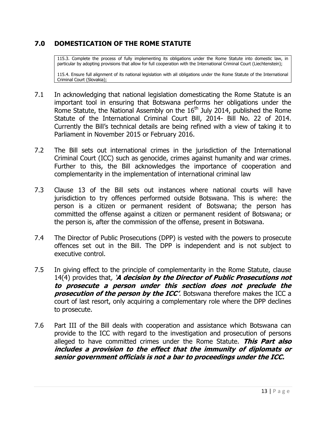## **7.0 DOMESTICATION OF THE ROME STATUTE**

115.3. Complete the process of fully implementing its obligations under the Rome Statute into domestic law, in particular by adopting provisions that allow for full cooperation with the International Criminal Court (Liechtenstein);

115.4. Ensure full alignment of its national legislation with all obligations under the Rome Statute of the International Criminal Court (Slovakia);

- 7.1 In acknowledging that national legislation domesticating the Rome Statute is an important tool in ensuring that Botswana performs her obligations under the Rome Statute, the National Assembly on the  $16<sup>th</sup>$  July 2014, published the Rome Statute of the International Criminal Court Bill, 2014- Bill No. 22 of 2014. Currently the Bill's technical details are being refined with a view of taking it to Parliament in November 2015 or February 2016.
- 7.2 The Bill sets out international crimes in the jurisdiction of the International Criminal Court (ICC) such as genocide, crimes against humanity and war crimes. Further to this, the Bill acknowledges the importance of cooperation and complementarity in the implementation of international criminal law
- 7.3 Clause 13 of the Bill sets out instances where national courts will have jurisdiction to try offences performed outside Botswana. This is where: the person is a citizen or permanent resident of Botswana; the person has committed the offense against a citizen or permanent resident of Botswana; or the person is, after the commission of the offense, present in Botswana.
- 7.4 The Director of Public Prosecutions (DPP) is vested with the powers to prosecute offences set out in the Bill. The DPP is independent and is not subject to executive control.
- 7.5 In giving effect to the principle of complementarity in the Rome Statute, clause 14(4) provides that, '**A decision by the Director of Public Prosecutions not to prosecute a person under this section does not preclude the prosecution of the person by the ICC'**. Botswana therefore makes the ICC a court of last resort, only acquiring a complementary role where the DPP declines to prosecute.
- 7.6 Part III of the Bill deals with cooperation and assistance which Botswana can provide to the ICC with regard to the investigation and prosecution of persons alleged to have committed crimes under the Rome Statute. **This Part also includes a provision to the effect that the immunity of diplomats or senior government officials is not a bar to proceedings under the ICC.**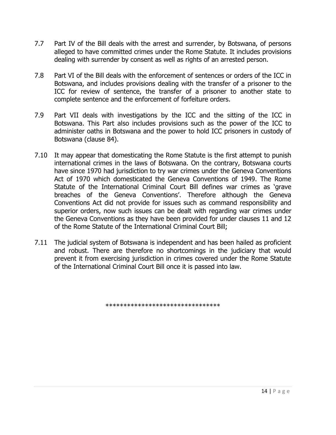- 7.7 Part IV of the Bill deals with the arrest and surrender, by Botswana, of persons alleged to have committed crimes under the Rome Statute. It includes provisions dealing with surrender by consent as well as rights of an arrested person.
- 7.8 Part VI of the Bill deals with the enforcement of sentences or orders of the ICC in Botswana, and includes provisions dealing with the transfer of a prisoner to the ICC for review of sentence, the transfer of a prisoner to another state to complete sentence and the enforcement of forfeiture orders.
- 7.9 Part VII deals with investigations by the ICC and the sitting of the ICC in Botswana. This Part also includes provisions such as the power of the ICC to administer oaths in Botswana and the power to hold ICC prisoners in custody of Botswana (clause 84).
- 7.10 It may appear that domesticating the Rome Statute is the first attempt to punish international crimes in the laws of Botswana. On the contrary, Botswana courts have since 1970 had jurisdiction to try war crimes under the Geneva Conventions Act of 1970 which domesticated the Geneva Conventions of 1949. The Rome Statute of the International Criminal Court Bill defines war crimes as 'grave breaches of the Geneva Conventions'. Therefore although the Geneva Conventions Act did not provide for issues such as command responsibility and superior orders, now such issues can be dealt with regarding war crimes under the Geneva Conventions as they have been provided for under clauses 11 and 12 of the Rome Statute of the International Criminal Court Bill;
- 7.11 The judicial system of Botswana is independent and has been hailed as proficient and robust. There are therefore no shortcomings in the judiciary that would prevent it from exercising jurisdiction in crimes covered under the Rome Statute of the International Criminal Court Bill once it is passed into law.

\*\*\*\*\*\*\*\*\*\*\*\*\*\*\*\*\*\*\*\*\*\*\*\*\*\*\*\*\*\*\*\*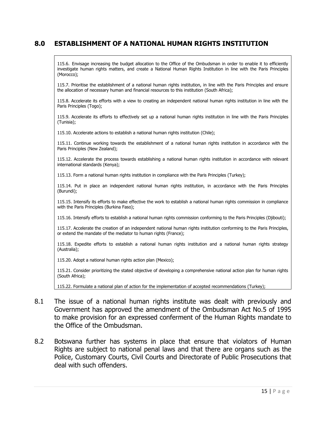### **8.0 ESTABLISHMENT OF A NATIONAL HUMAN RIGHTS INSTITUTION**

115.6. Envisage increasing the budget allocation to the Office of the Ombudsman in order to enable it to efficiently investigate human rights matters, and create a National Human Rights Institution in line with the Paris Principles (Morocco);

115.7. Prioritise the establishment of a national human rights institution, in line with the Paris Principles and ensure the allocation of necessary human and financial resources to this institution (South Africa);

115.8. Accelerate its efforts with a view to creating an independent national human rights institution in line with the Paris Principles (Togo);

115.9. Accelerate its efforts to effectively set up a national human rights institution in line with the Paris Principles (Tunisia);

115.10. Accelerate actions to establish a national human rights institution (Chile);

115.11. Continue working towards the establishment of a national human rights institution in accordance with the Paris Principles (New Zealand);

115.12. Accelerate the process towards establishing a national human rights institution in accordance with relevant international standards (Kenya);

115.13. Form a national human rights institution in compliance with the Paris Principles (Turkey);

115.14. Put in place an independent national human rights institution, in accordance with the Paris Principles (Burundi);

115.15. Intensify its efforts to make effective the work to establish a national human rights commission in compliance with the Paris Principles (Burkina Faso);

115.16. Intensify efforts to establish a national human rights commission conforming to the Paris Principles (Djibouti);

115.17. Accelerate the creation of an independent national human rights institution conforming to the Paris Principles, or extend the mandate of the mediator to human rights (France);

115.18. Expedite efforts to establish a national human rights institution and a national human rights strategy (Australia);

115.20. Adopt a national human rights action plan (Mexico);

115.21. Consider prioritizing the stated objective of developing a comprehensive national action plan for human rights (South Africa);

115.22. Formulate a national plan of action for the implementation of accepted recommendations (Turkey);

- 8.1 The issue of a national human rights institute was dealt with previously and Government has approved the amendment of the Ombudsman Act No.5 of 1995 to make provision for an expressed conferment of the Human Rights mandate to the Office of the Ombudsman.
- 8.2 Botswana further has systems in place that ensure that violators of Human Rights are subject to national penal laws and that there are organs such as the Police, Customary Courts, Civil Courts and Directorate of Public Prosecutions that deal with such offenders.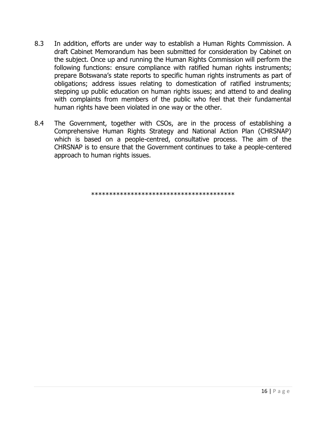- 8.3 In addition, efforts are under way to establish a Human Rights Commission. A draft Cabinet Memorandum has been submitted for consideration by Cabinet on the subject. Once up and running the Human Rights Commission will perform the following functions: ensure compliance with ratified human rights instruments; prepare Botswana's state reports to specific human rights instruments as part of obligations; address issues relating to domestication of ratified instruments; stepping up public education on human rights issues; and attend to and dealing with complaints from members of the public who feel that their fundamental human rights have been violated in one way or the other.
- 8.4 The Government, together with CSOs, are in the process of establishing a Comprehensive Human Rights Strategy and National Action Plan (CHRSNAP) which is based on a people-centred, consultative process. The aim of the CHRSNAP is to ensure that the Government continues to take a people-centered approach to human rights issues.

\*\*\*\*\*\*\*\*\*\*\*\*\*\*\*\*\*\*\*\*\*\*\*\*\*\*\*\*\*\*\*\*\*\*\*\*\*\*\*\*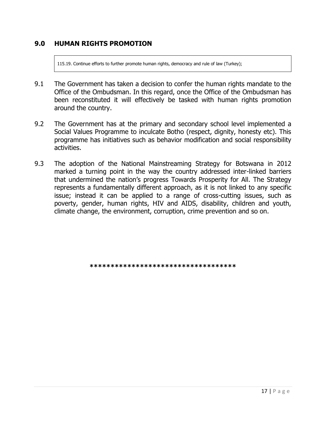#### **9.0 HUMAN RIGHTS PROMOTION**

115.19. Continue efforts to further promote human rights, democracy and rule of law (Turkey);

- 9.1 The Government has taken a decision to confer the human rights mandate to the Office of the Ombudsman. In this regard, once the Office of the Ombudsman has been reconstituted it will effectively be tasked with human rights promotion around the country.
- 9.2 The Government has at the primary and secondary school level implemented a Social Values Programme to inculcate Botho (respect, dignity, honesty etc). This programme has initiatives such as behavior modification and social responsibility activities.
- 9.3 The adoption of the National Mainstreaming Strategy for Botswana in 2012 marked a turning point in the way the country addressed inter-linked barriers that undermined the nation's progress Towards Prosperity for All. The Strategy represents a fundamentally different approach, as it is not linked to any specific issue; instead it can be applied to a range of cross-cutting issues, such as poverty, gender, human rights, HIV and AIDS, disability, children and youth, climate change, the environment, corruption, crime prevention and so on.

**\*\*\*\*\*\*\*\*\*\*\*\*\*\*\*\*\*\*\*\*\*\*\*\*\*\*\*\*\*\*\*\*\*\*\***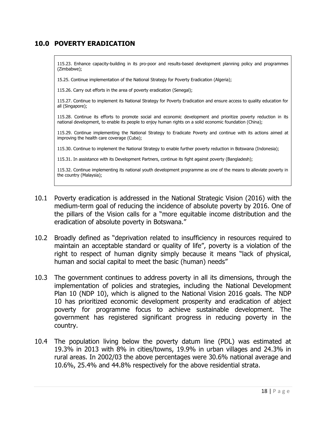## **10.0 POVERTY ERADICATION**

115.23. Enhance capacity-building in its pro-poor and results-based development planning policy and programmes (Zimbabwe);

15.25. Continue implementation of the National Strategy for Poverty Eradication (Algeria);

115.26. Carry out efforts in the area of poverty eradication (Senegal);

115.27. Continue to implement its National Strategy for Poverty Eradication and ensure access to quality education for all (Singapore);

115.28. Continue its efforts to promote social and economic development and prioritize poverty reduction in its national development, to enable its people to enjoy human rights on a solid economic foundation (China);

115.29. Continue implementing the National Strategy to Eradicate Poverty and continue with its actions aimed at improving the health care coverage (Cuba);

115.30. Continue to implement the National Strategy to enable further poverty reduction in Botswana (Indonesia);

115.31. In assistance with its Development Partners, continue its fight against poverty (Bangladesh);

115.32. Continue implementing its national youth development programme as one of the means to alleviate poverty in the country (Malaysia);

- 10.1 Poverty eradication is addressed in the National Strategic Vision (2016) with the medium-term goal of reducing the incidence of absolute poverty by 2016. One of the pillars of the Vision calls for a "more equitable income distribution and the eradication of absolute poverty in Botswana."
- 10.2 Broadly defined as "deprivation related to insufficiency in resources required to maintain an acceptable standard or quality of life", poverty is a violation of the right to respect of human dignity simply because it means "lack of physical, human and social capital to meet the basic (human) needs"
- 10.3 The government continues to address poverty in all its dimensions, through the implementation of policies and strategies, including the National Development Plan 10 (NDP 10), which is aligned to the National Vision 2016 goals. The NDP 10 has prioritized economic development prosperity and eradication of abject poverty for programme focus to achieve sustainable development. The government has registered significant progress in reducing poverty in the country.
- 10.4 The population living below the poverty datum line (PDL) was estimated at 19.3% in 2013 with 8% in cities/towns, 19.9% in urban villages and 24.3% in rural areas. In 2002/03 the above percentages were 30.6% national average and 10.6%, 25.4% and 44.8% respectively for the above residential strata.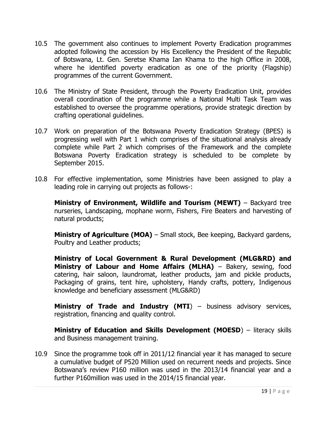- 10.5 The government also continues to implement Poverty Eradication programmes adopted following the accession by His Excellency the President of the Republic of Botswana, Lt. Gen. Seretse Khama Ian Khama to the high Office in 2008, where he identified poverty eradication as one of the priority (Flagship) programmes of the current Government.
- 10.6 The Ministry of State President, through the Poverty Eradication Unit, provides overall coordination of the programme while a National Multi Task Team was established to oversee the programme operations, provide strategic direction by crafting operational guidelines.
- 10.7 Work on preparation of the Botswana Poverty Eradication Strategy (BPES) is progressing well with Part 1 which comprises of the situational analysis already complete while Part 2 which comprises of the Framework and the complete Botswana Poverty Eradication strategy is scheduled to be complete by September 2015.
- 10.8 For effective implementation, some Ministries have been assigned to play a leading role in carrying out projects as follows-:

**Ministry of Environment, Wildlife and Tourism (MEWT)** - Backyard tree nurseries, Landscaping, mophane worm, Fishers, Fire Beaters and harvesting of natural products;

**Ministry of Agriculture (MOA)** – Small stock, Bee keeping, Backyard gardens, Poultry and Leather products;

**Ministry of Local Government & Rural Development (MLG&RD) and Ministry of Labour and Home Affairs (MLHA)** – Bakery, sewing, food catering, hair saloon, laundromat, leather products, jam and pickle products, Packaging of grains, tent hire, upholstery, Handy crafts, pottery, Indigenous knowledge and beneficiary assessment (MLG&RD)

**Ministry of Trade and Industry (MTI)** – business advisory services, registration, financing and quality control.

**Ministry of Education and Skills Development (MOESD)** – literacy skills and Business management training.

10.9 Since the programme took off in 2011/12 financial year it has managed to secure a cumulative budget of P520 Million used on recurrent needs and projects. Since Botswana's review P160 million was used in the 2013/14 financial year and a further P160million was used in the 2014/15 financial year.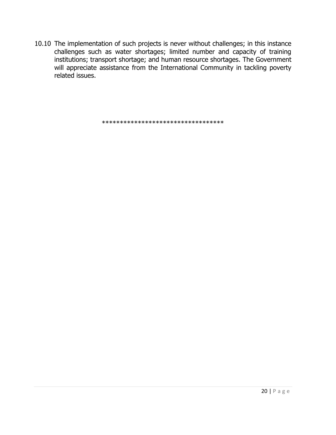10.10 The implementation of such projects is never without challenges; in this instance challenges such as water shortages; limited number and capacity of training institutions; transport shortage; and human resource shortages. The Government will appreciate assistance from the International Community in tackling poverty related issues.

\*\*\*\*\*\*\*\*\*\*\*\*\*\*\*\*\*\*\*\*\*\*\*\*\*\*\*\*\*\*\*\*\*\*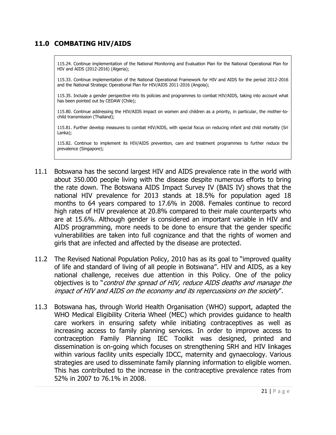## **11.0 COMBATING HIV/AIDS**

115.24. Continue implementation of the National Monitoring and Evaluation Plan for the National Operational Plan for HIV and AIDS (2012-2016) (Algeria);

115.33. Continue implementation of the National Operational Framework for HIV and AIDS for the period 2012-2016 and the National Strategic Operational Plan for HIV/AIDS 2011-2016 (Angola);

115.35. Include a gender perspective into its policies and programmes to combat HIV/AIDS, taking into account what has been pointed out by CEDAW (Chile);

115.80. Continue addressing the HIV/AIDS impact on women and children as a priority, in particular, the mother-tochild transmission (Thailand);

115.81. Further develop measures to combat HIV/AIDS, with special focus on reducing infant and child mortality (Sri Lanka);

115.82. Continue to implement its HIV/AIDS prevention, care and treatment programmes to further reduce the prevalence (Singapore);

- 11.1 Botswana has the second largest HIV and AIDS prevalence rate in the world with about 350.000 people living with the disease despite numerous efforts to bring the rate down. The Botswana AIDS Impact Survey IV (BAIS IV) shows that the national HIV prevalence for 2013 stands at 18.5% for population aged 18 months to 64 years compared to 17.6% in 2008. Females continue to record high rates of HIV prevalence at 20.8% compared to their male counterparts who are at 15.6%. Although gender is considered an important variable in HIV and AIDS programming, more needs to be done to ensure that the gender specific vulnerabilities are taken into full cognizance and that the rights of women and girls that are infected and affected by the disease are protected.
- 11.2 The Revised National Population Policy, 2010 has as its goal to "improved quality of life and standard of living of all people in Botswana". HIV and AIDS, as a key national challenge, receives due attention in this Policy. One of the policy objectives is to "control the spread of HIV, reduce AIDS deaths and manage the impact of HIV and AIDS on the economy and its repercussions on the society".
- 11.3 Botswana has, through World Health Organisation (WHO) support, adapted the WHO Medical Eligibility Criteria Wheel (MEC) which provides guidance to health care workers in ensuring safety while initiating contraceptives as well as increasing access to family planning services. In order to improve access to contraception Family Planning IEC Toolkit was designed, printed and dissemination is on-going which focuses on strengthening SRH and HIV linkages within various facility units especially IDCC, maternity and gynaecology. Various strategies are used to disseminate family planning information to eligible women. This has contributed to the increase in the contraceptive prevalence rates from 52% in 2007 to 76.1% in 2008.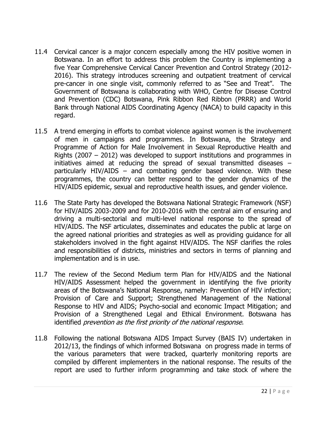- 11.4 Cervical cancer is a major concern especially among the HIV positive women in Botswana. In an effort to address this problem the Country is implementing a five Year Comprehensive Cervical Cancer Prevention and Control Strategy (2012- 2016). This strategy introduces screening and outpatient treatment of cervical pre-cancer in one single visit, commonly referred to as "See and Treat". The Government of Botswana is collaborating with WHO, Centre for Disease Control and Prevention (CDC) Botswana, Pink Ribbon Red Ribbon (PRRR) and World Bank through National AIDS Coordinating Agency (NACA) to build capacity in this regard.
- 11.5 A trend emerging in efforts to combat violence against women is the involvement of men in campaigns and programmes. In Botswana, the Strategy and Programme of Action for Male Involvement in Sexual Reproductive Health and Rights (2007 – 2012) was developed to support institutions and programmes in initiatives aimed at reducing the spread of sexual transmitted diseases – particularly HIV/AIDS – and combating gender based violence. With these programmes, the country can better respond to the gender dynamics of the HIV/AIDS epidemic, sexual and reproductive health issues, and gender violence.
- 11.6 The State Party has developed the Botswana National Strategic Framework (NSF) for HIV/AIDS 2003-2009 and for 2010-2016 with the central aim of ensuring and driving a multi-sectorial and multi-level national response to the spread of HIV/AIDS. The NSF articulates, disseminates and educates the public at large on the agreed national priorities and strategies as well as providing guidance for all stakeholders involved in the fight against HIV/AIDS. The NSF clarifies the roles and responsibilities of districts, ministries and sectors in terms of planning and implementation and is in use.
- 11.7 The review of the Second Medium term Plan for HIV/AIDS and the National HIV/AIDS Assessment helped the government in identifying the five priority areas of the Botswana's National Response, namely: Prevention of HIV infection; Provision of Care and Support; Strengthened Management of the National Response to HIV and AIDS; Psycho-social and economic Impact Mitigation; and Provision of a Strengthened Legal and Ethical Environment. Botswana has identified *prevention as the first priority of the national response*.
- 11.8 Following the national Botswana AIDS Impact Survey (BAIS IV) undertaken in 2012/13, the findings of which informed Botswana on progress made in terms of the various parameters that were tracked, quarterly monitoring reports are compiled by different implementers in the national response. The results of the report are used to further inform programming and take stock of where the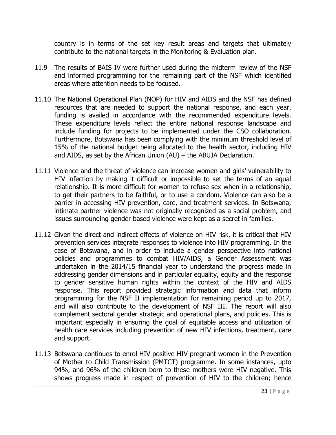country is in terms of the set key result areas and targets that ultimately contribute to the national targets in the Monitoring & Evaluation plan.

- 11.9 The results of BAIS IV were further used during the midterm review of the NSF and informed programming for the remaining part of the NSF which identified areas where attention needs to be focused.
- 11.10 The National Operational Plan (NOP) for HIV and AIDS and the NSF has defined resources that are needed to support the national response, and each year, funding is availed in accordance with the recommended expenditure levels. These expenditure levels reflect the entire national response landscape and include funding for projects to be implemented under the CSO collaboration. Furthermore, Botswana has been complying with the minimum threshold level of 15% of the national budget being allocated to the health sector, including HIV and AIDS, as set by the African Union (AU) – the ABUJA Declaration.
- 11.11 Violence and the threat of violence can increase women and girls' vulnerability to HIV infection by making it difficult or impossible to set the terms of an equal relationship. It is more difficult for women to refuse sex when in a relationship, to get their partners to be faithful, or to use a condom. Violence can also be a barrier in accessing HIV prevention, care, and treatment services. In Botswana, intimate partner violence was not originally recognized as a social problem, and issues surrounding gender based violence were kept as a secret in families.
- 11.12 Given the direct and indirect effects of violence on HIV risk, it is critical that HIV prevention services integrate responses to violence into HIV programming. In the case of Botswana, and in order to include a gender perspective into national policies and programmes to combat HIV/AIDS, a Gender Assessment was undertaken in the 2014/15 financial year to understand the progress made in addressing gender dimensions and in particular equality, equity and the response to gender sensitive human rights within the context of the HIV and AIDS response. This report provided strategic information and data that inform programming for the NSF II implementation for remaining period up to 2017, and will also contribute to the development of NSF III. The report will also complement sectoral gender strategic and operational plans, and policies. This is important especially in ensuring the goal of equitable access and utilization of health care services including prevention of new HIV infections, treatment, care and support.
- 11.13 Botswana continues to enrol HIV positive HIV pregnant women in the Prevention of Mother to Child Transmission (PMTCT) programme. In some instances, upto 94%, and 96% of the children born to these mothers were HIV negative. This shows progress made in respect of prevention of HIV to the children; hence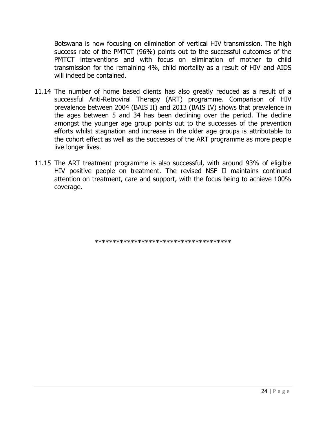Botswana is now focusing on elimination of vertical HIV transmission. The high success rate of the PMTCT (96%) points out to the successful outcomes of the PMTCT interventions and with focus on elimination of mother to child transmission for the remaining 4%, child mortality as a result of HIV and AIDS will indeed be contained.

- 11.14 The number of home based clients has also greatly reduced as a result of a successful Anti-Retroviral Therapy (ART) programme. Comparison of HIV prevalence between 2004 (BAIS II) and 2013 (BAIS IV) shows that prevalence in the ages between 5 and 34 has been declining over the period. The decline amongst the younger age group points out to the successes of the prevention efforts whilst stagnation and increase in the older age groups is attributable to the cohort effect as well as the successes of the ART programme as more people live longer lives.
- 11.15 The ART treatment programme is also successful, with around 93% of eligible HIV positive people on treatment. The revised NSF II maintains continued attention on treatment, care and support, with the focus being to achieve 100% coverage.

\*\*\*\*\*\*\*\*\*\*\*\*\*\*\*\*\*\*\*\*\*\*\*\*\*\*\*\*\*\*\*\*\*\*\*\*\*\*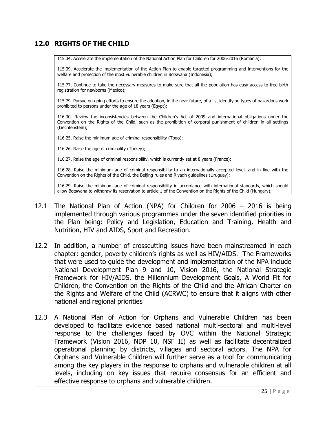### **12.0 RIGHTS OF THE CHILD**

115.34. Accelerate the implementation of the National Action Plan for Children for 2006-2016 (Romania);

115.39. Accelerate the implementation of the Action Plan to enable targeted programming and interventions for the welfare and protection of the most vulnerable children in Botswana (Indonesia);

115.77. Continue to take the necessary measures to make sure that all the population has easy access to free birth registration for newborns (Mexico);

115.79. Pursue on-going efforts to ensure the adoption, in the near future, of a list identifying types of hazardous work prohibited to persons under the age of 18 years (Egypt);

116.30. Review the inconsistencies between the Children's Act of 2009 and international obligations under the Convention on the Rights of the Child, such as the prohibition of corporal punishment of children in all settings (Liechtenstein);

116.25. Raise the minimum age of criminal responsibility (Togo);

116.26. Raise the age of criminality (Turkey);

116.27. Raise the age of criminal responsibility, which is currently set at 8 years (France);

116.28. Raise the minimum age of criminal responsibility to an internationally accepted level, and in line with the Convention on the Rights of the Child, the Beijing rules and Riyadh guidelines (Uruguay);

116.29. Raise the minimum age of criminal responsibility in accordance with international standards, which should allow Botswana to withdraw its reservation to article 1 of the Convention on the Rights of the Child (Hungary);

- 12.1 The National Plan of Action (NPA) for Children for 2006 2016 is being implemented through various programmes under the seven identified priorities in the Plan being: Policy and Legislation, Education and Training, Health and Nutrition, HIV and AIDS, Sport and Recreation.
- 12.2 In addition, a number of crosscutting issues have been mainstreamed in each chapter: gender, poverty children's rights as well as HIV/AIDS. The Frameworks that were used to guide the development and implementation of the NPA include National Development Plan 9 and 10, Vision 2016, the National Strategic Framework for HIV/AIDS, the Millennium Development Goals, A World Fit for Children, the Convention on the Rights of the Child and the African Charter on the Rights and Welfare of the Child (ACRWC) to ensure that it aligns with other national and regional priorities
- 12.3 A National Plan of Action for Orphans and Vulnerable Children has been developed to facilitate evidence based national multi-sectoral and multi-level response to the challenges faced by OVC within the National Strategic Framework (Vision 2016, NDP 10, NSF II) as well as facilitate decentralized operational planning by districts, villages and sectoral actors. The NPA for Orphans and Vulnerable Children will further serve as a tool for communicating among the key players in the response to orphans and vulnerable children at all levels, including on key issues that require consensus for an efficient and effective response to orphans and vulnerable children.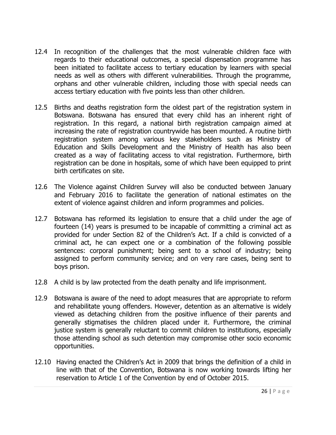- 12.4 In recognition of the challenges that the most vulnerable children face with regards to their educational outcomes, a special dispensation programme has been initiated to facilitate access to tertiary education by learners with special needs as well as others with different vulnerabilities. Through the programme, orphans and other vulnerable children, including those with special needs can access tertiary education with five points less than other children.
- 12.5 Births and deaths registration form the oldest part of the registration system in Botswana. Botswana has ensured that every child has an inherent right of registration. In this regard, a national birth registration campaign aimed at increasing the rate of registration countrywide has been mounted. A routine birth registration system among various key stakeholders such as Ministry of Education and Skills Development and the Ministry of Health has also been created as a way of facilitating access to vital registration. Furthermore, birth registration can be done in hospitals, some of which have been equipped to print birth certificates on site.
- 12.6 The Violence against Children Survey will also be conducted between January and February 2016 to facilitate the generation of national estimates on the extent of violence against children and inform programmes and policies.
- 12.7 Botswana has reformed its legislation to ensure that a child under the age of fourteen (14) years is presumed to be incapable of committing a criminal act as provided for under Section 82 of the Children's Act. If a child is convicted of a criminal act, he can expect one or a combination of the following possible sentences: corporal punishment; being sent to a school of industry; being assigned to perform community service; and on very rare cases, being sent to boys prison.
- 12.8 A child is by law protected from the death penalty and life imprisonment.
- 12.9 Botswana is aware of the need to adopt measures that are appropriate to reform and rehabilitate young offenders. However, detention as an alternative is widely viewed as detaching children from the positive influence of their parents and generally stigmatises the children placed under it. Furthermore, the criminal justice system is generally reluctant to commit children to institutions, especially those attending school as such detention may compromise other socio economic opportunities.
- 12.10 Having enacted the Children's Act in 2009 that brings the definition of a child in line with that of the Convention, Botswana is now working towards lifting her reservation to Article 1 of the Convention by end of October 2015.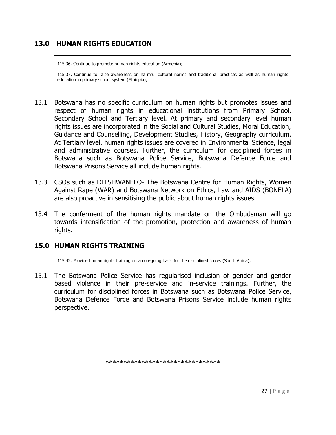## **13.0 HUMAN RIGHTS EDUCATION**

115.36. Continue to promote human rights education (Armenia);

115.37. Continue to raise awareness on harmful cultural norms and traditional practices as well as human rights education in primary school system (Ethiopia);

- 13.1 Botswana has no specific curriculum on human rights but promotes issues and respect of human rights in educational institutions from Primary School, Secondary School and Tertiary level. At primary and secondary level human rights issues are incorporated in the Social and Cultural Studies, Moral Education, Guidance and Counselling, Development Studies, History, Geography curriculum. At Tertiary level, human rights issues are covered in Environmental Science, legal and administrative courses. Further, the curriculum for disciplined forces in Botswana such as Botswana Police Service, Botswana Defence Force and Botswana Prisons Service all include human rights.
- 13.3 CSOs such as DITSHWANELO- The Botswana Centre for Human Rights, Women Against Rape (WAR) and Botswana Network on Ethics, Law and AIDS (BONELA) are also proactive in sensitising the public about human rights issues.
- 13.4 The conferment of the human rights mandate on the Ombudsman will go towards intensification of the promotion, protection and awareness of human rights.

#### **15.0 HUMAN RIGHTS TRAINING**

115.42. Provide human rights training on an on-going basis for the disciplined forces (South Africa);

15.1 The Botswana Police Service has regularised inclusion of gender and gender based violence in their pre-service and in-service trainings. Further, the curriculum for disciplined forces in Botswana such as Botswana Police Service, Botswana Defence Force and Botswana Prisons Service include human rights perspective.

\*\*\*\*\*\*\*\*\*\*\*\*\*\*\*\*\*\*\*\*\*\*\*\*\*\*\*\*\*\*\*\*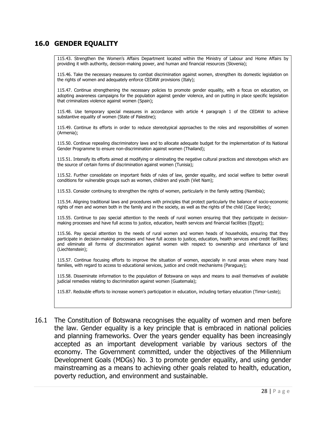#### **16.0 GENDER EQUALITY**

115.43. Strengthen the Women's Affairs Department located within the Ministry of Labour and Home Affairs by providing it with authority, decision-making power, and human and financial resources (Slovenia);

115.46. Take the necessary measures to combat discrimination against women, strengthen its domestic legislation on the rights of women and adequately enforce CEDAW provisions (Italy);

115.47. Continue strengthening the necessary policies to promote gender equality, with a focus on education, on adopting awareness campaigns for the population against gender violence, and on putting in place specific legislation that criminalizes violence against women (Spain);

115.48. Use temporary special measures in accordance with article 4 paragraph 1 of the CEDAW to achieve substantive equality of women (State of Palestine);

115.49. Continue its efforts in order to reduce stereotypical approaches to the roles and responsibilities of women (Armenia);

115.50. Continue repealing discriminatory laws and to allocate adequate budget for the implementation of its National Gender Programme to ensure non-discrimination against women (Thailand);

115.51. Intensify its efforts aimed at modifying or eliminating the negative cultural practices and stereotypes which are the source of certain forms of discrimination against women (Tunisia);

115.52. Further consolidate on important fields of rules of law, gender equality, and social welfare to better overall conditions for vulnerable groups such as women, children and youth (Viet Nam);

115.53. Consider continuing to strengthen the rights of women, particularly in the family setting (Namibia);

115.54. Aligning traditional laws and procedures with principles that protect particularly the balance of socio-economic rights of men and women both in the family and in the society, as well as the rights of the child (Cape Verde);

115.55. Continue to pay special attention to the needs of rural women ensuring that they participate in decisionmaking processes and have full access to justice, education, health services and financial facilities (Egypt);

115.56. Pay special attention to the needs of rural women and women heads of households, ensuring that they participate in decision-making processes and have full access to justice, education, health services and credit facilities; and eliminate all forms of discrimination against women with respect to ownership and inheritance of land (Liechtenstein);

115.57. Continue focusing efforts to improve the situation of women, especially in rural areas where many head families, with regard to access to educational services, justice and credit mechanisms (Paraguay);

115.58. Disseminate information to the population of Botswana on ways and means to avail themselves of available judicial remedies relating to discrimination against women (Guatemala);

115.87. Redouble efforts to increase women's participation in education, including tertiary education (Timor-Leste);

16.1 The Constitution of Botswana recognises the equality of women and men before the law. Gender equality is a key principle that is embraced in national policies and planning frameworks. Over the years gender equality has been increasingly accepted as an important development variable by various sectors of the economy. The Government committed, under the objectives of the Millennium Development Goals (MDGs) No. 3 to promote gender equality, and using gender mainstreaming as a means to achieving other goals related to health, education, poverty reduction, and environment and sustainable.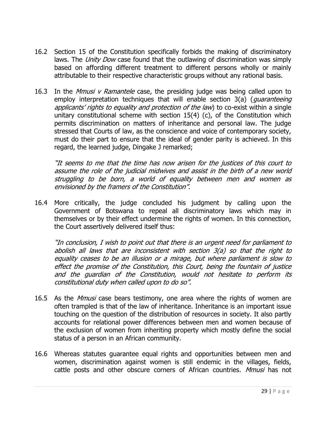- 16.2 Section 15 of the Constitution specifically forbids the making of discriminatory laws. The *Unity Dow* case found that the outlawing of discrimination was simply based on affording different treatment to different persons wholly or mainly attributable to their respective characteristic groups without any rational basis.
- 16.3 In the *Mmusi v Ramantele* case, the presiding judge was being called upon to employ interpretation techniques that will enable section 3(a) (*quaranteeing* applicants' rights to equality and protection of the law) to co-exist within a single unitary constitutional scheme with section 15(4) (c), of the Constitution which permits discrimination on matters of inheritance and personal law. The judge stressed that Courts of law, as the conscience and voice of contemporary society, must do their part to ensure that the ideal of gender parity is achieved. In this regard, the learned judge, Dingake J remarked;

"It seems to me that the time has now arisen for the justices of this court to assume the role of the judicial midwives and assist in the birth of a new world struggling to be born, a world of equality between men and women as envisioned by the framers of the Constitution".

16.4 More critically, the judge concluded his judgment by calling upon the Government of Botswana to repeal all discriminatory laws which may in themselves or by their effect undermine the rights of women. In this connection, the Court assertively delivered itself thus:

"In conclusion, I wish to point out that there is an urgent need for parliament to abolish all laws that are inconsistent with section  $3(a)$  so that the right to equality ceases to be an illusion or a mirage, but where parliament is slow to effect the promise of the Constitution, this Court, being the fountain of justice and the guardian of the Constitution, would not hesitate to perform its constitutional duty when called upon to do so".

- 16.5 As the *Mmusi* case bears testimony, one area where the rights of women are often trampled is that of the law of inheritance. Inheritance is an important issue touching on the question of the distribution of resources in society. It also partly accounts for relational power differences between men and women because of the exclusion of women from inheriting property which mostly define the social status of a person in an African community.
- 16.6 Whereas statutes guarantee equal rights and opportunities between men and women, discrimination against women is still endemic in the villages, fields, cattle posts and other obscure corners of African countries. Mmusi has not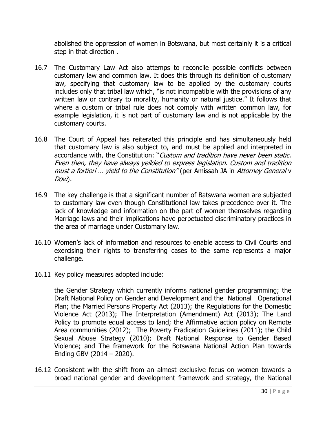abolished the oppression of women in Botswana, but most certainly it is a critical step in that direction .

- 16.7 The Customary Law Act also attemps to reconcile possible conflicts between customary law and common law. It does this through its definition of customary law, specifying that customary law to be applied by the customary courts includes only that tribal law which, "is not incompatible with the provisions of any written law or contrary to morality, humanity or natural justice." It follows that where a custom or tribal rule does not comply with written common law, for example legislation, it is not part of customary law and is not applicable by the customary courts.
- 16.8 The Court of Appeal has reiterated this principle and has simultaneously held that customary law is also subject to, and must be applied and interpreted in accordance with, the Constitution: "Custom and tradition have never been static. Even then, they have always yeilded to express legislation. Custom and tradition must a fortiori ... yield to the Constitution" (per Amissah JA in Attorney General v Dow).
- 16.9 The key challenge is that a significant number of Batswana women are subjected to customary law even though Constitutional law takes precedence over it. The lack of knowledge and information on the part of women themselves regarding Marriage laws and their implications have perpetuated discriminatory practices in the area of marriage under Customary law.
- 16.10 Women's lack of information and resources to enable access to Civil Courts and exercising their rights to transferring cases to the same represents a major challenge.
- 16.11 Key policy measures adopted include:

the Gender Strategy which currently informs national gender programming; the Draft National Policy on Gender and Development and the National Operational Plan; the Married Persons Property Act (2013); the Regulations for the Domestic Violence Act (2013); The Interpretation (Amendment) Act (2013); The Land Policy to promote equal access to land; the Affirmative action policy on Remote Area communities (2012); The Poverty Eradication Guidelines (2011); the Child Sexual Abuse Strategy (2010); Draft National Response to Gender Based Violence; and The framework for the Botswana National Action Plan towards Ending GBV (2014 – 2020).

16.12 Consistent with the shift from an almost exclusive focus on women towards a broad national gender and development framework and strategy, the National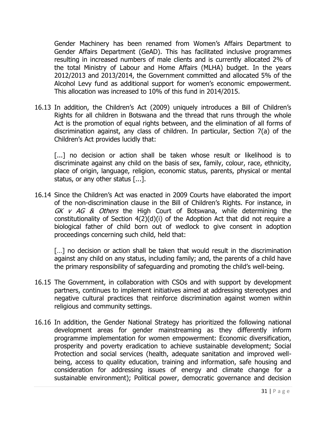Gender Machinery has been renamed from Women's Affairs Department to Gender Affairs Department (GeAD). This has facilitated inclusive programmes resulting in increased numbers of male clients and is currently allocated 2% of the total Ministry of Labour and Home Affairs (MLHA) budget. In the years 2012/2013 and 2013/2014, the Government committed and allocated 5% of the Alcohol Levy fund as additional support for women's economic empowerment. This allocation was increased to 10% of this fund in 2014/2015.

16.13 In addition, the Children's Act (2009) uniquely introduces a Bill of Children's Rights for all children in Botswana and the thread that runs through the whole Act is the promotion of equal rights between, and the elimination of all forms of discrimination against, any class of children. In particular, Section 7(a) of the Children's Act provides lucidly that:

[...] no decision or action shall be taken whose result or likelihood is to discriminate against any child on the basis of sex, family, colour, race, ethnicity, place of origin, language, religion, economic status, parents, physical or mental status, or any other status [...].

16.14 Since the Children's Act was enacted in 2009 Courts have elaborated the import of the non-discrimination clause in the Bill of Children's Rights. For instance, in GK v AG & Others the High Court of Botswana, while determining the constitutionality of Section 4(2)(d)(i) of the Adoption Act that did not require a biological father of child born out of wedlock to give consent in adoption proceedings concerning such child, held that:

[...] no decision or action shall be taken that would result in the discrimination against any child on any status, including family; and, the parents of a child have the primary responsibility of safeguarding and promoting the child's well-being.

- 16.15 The Government, in collaboration with CSOs and with support by development partners, continues to implement initiatives aimed at addressing stereotypes and negative cultural practices that reinforce discrimination against women within religious and community settings.
- 16.16 In addition, the Gender National Strategy has prioritized the following national development areas for gender mainstreaming as they differently inform programme implementation for women empowerment: Economic diversification, prosperity and poverty eradication to achieve sustainable development; Social Protection and social services (health, adequate sanitation and improved wellbeing, access to quality education, training and information, safe housing and consideration for addressing issues of energy and climate change for a sustainable environment); Political power, democratic governance and decision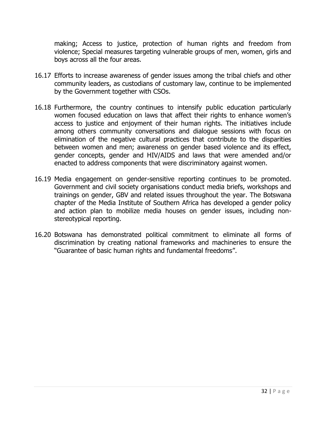making; Access to justice, protection of human rights and freedom from violence; Special measures targeting vulnerable groups of men, women, girls and boys across all the four areas.

- 16.17 Efforts to increase awareness of gender issues among the tribal chiefs and other community leaders, as custodians of customary law, continue to be implemented by the Government together with CSOs.
- 16.18 Furthermore, the country continues to intensify public education particularly women focused education on laws that affect their rights to enhance women's access to justice and enjoyment of their human rights. The initiatives include among others community conversations and dialogue sessions with focus on elimination of the negative cultural practices that contribute to the disparities between women and men; awareness on gender based violence and its effect, gender concepts, gender and HIV/AIDS and laws that were amended and/or enacted to address components that were discriminatory against women.
- 16.19 Media engagement on gender-sensitive reporting continues to be promoted. Government and civil society organisations conduct media briefs, workshops and trainings on gender, GBV and related issues throughout the year. The Botswana chapter of the Media Institute of Southern Africa has developed a gender policy and action plan to mobilize media houses on gender issues, including nonstereotypical reporting.
- 16.20 Botswana has demonstrated political commitment to eliminate all forms of discrimination by creating national frameworks and machineries to ensure the "Guarantee of basic human rights and fundamental freedoms".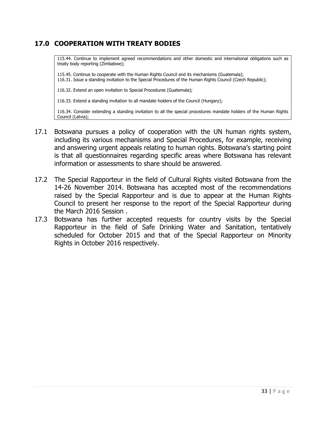## **17.0 COOPERATION WITH TREATY BODIES**

115.44. Continue to implement agreed recommendations and other domestic and international obligations such as treaty body reporting (Zimbabwe);

115.45. Continue to cooperate with the Human Rights Council and its mechanisms (Guatemala); 116.31. Issue a standing invitation to the Special Procedures of the Human Rights Council (Czech Republic);

116.32. Extend an open invitation to Special Procedures (Guatemala);

116.33. Extend a standing invitation to all mandate holders of the Council (Hungary);

116.34. Consider extending a standing invitation to all the special procedures mandate holders of the Human Rights Council (Latvia);

- 17.1 Botswana pursues a policy of cooperation with the UN human rights system, including its various mechanisms and Special Procedures, for example, receiving and answering urgent appeals relating to human rights. Botswana's starting point is that all questionnaires regarding specific areas where Botswana has relevant information or assessments to share should be answered.
- 17.2 The Special Rapporteur in the field of Cultural Rights visited Botswana from the 14-26 November 2014. Botswana has accepted most of the recommendations raised by the Special Rapporteur and is due to appear at the Human Rights Council to present her response to the report of the Special Rapporteur during the March 2016 Session .
- 17.3 Botswana has further accepted requests for country visits by the Special Rapporteur in the field of Safe Drinking Water and Sanitation, tentatively scheduled for October 2015 and that of the Special Rapporteur on Minority Rights in October 2016 respectively.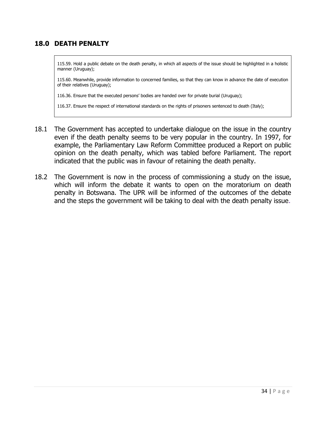### **18.0 DEATH PENALTY**

115.59. Hold a public debate on the death penalty, in which all aspects of the issue should be highlighted in a holistic manner (Uruguay);

115.60. Meanwhile, provide information to concerned families, so that they can know in advance the date of execution of their relatives (Uruguay);

116.36. Ensure that the executed persons' bodies are handed over for private burial (Uruguay);

116.37. Ensure the respect of international standards on the rights of prisoners sentenced to death (Italy);

- 18.1 The Government has accepted to undertake dialogue on the issue in the country even if the death penalty seems to be very popular in the country. In 1997, for example, the Parliamentary Law Reform Committee produced a Report on public opinion on the death penalty, which was tabled before Parliament. The report indicated that the public was in favour of retaining the death penalty.
- 18.2 The Government is now in the process of commissioning a study on the issue, which will inform the debate it wants to open on the moratorium on death penalty in Botswana. The UPR will be informed of the outcomes of the debate and the steps the government will be taking to deal with the death penalty issue.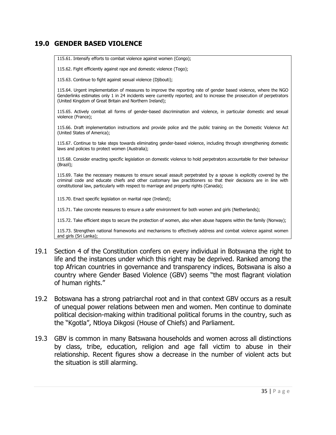#### **19.0 GENDER BASED VIOLENCE**

| 115.61. Intensify efforts to combat violence against women (Congo);                                                                                                                                                                                                                                                             |
|---------------------------------------------------------------------------------------------------------------------------------------------------------------------------------------------------------------------------------------------------------------------------------------------------------------------------------|
| 115.62. Fight efficiently against rape and domestic violence (Togo);                                                                                                                                                                                                                                                            |
| 115.63. Continue to fight against sexual violence (Djibouti);                                                                                                                                                                                                                                                                   |
| 115.64. Urgent implementation of measures to improve the reporting rate of gender based violence, where the NGO<br>Genderlinks estimates only 1 in 24 incidents were currently reported; and to increase the prosecution of perpetrators<br>(United Kingdom of Great Britain and Northern Ireland);                             |
| 115.65. Actively combat all forms of gender-based discrimination and violence, in particular domestic and sexual<br>violence (France);                                                                                                                                                                                          |
| 115.66. Draft implementation instructions and provide police and the public training on the Domestic Violence Act<br>(United States of America);                                                                                                                                                                                |
| 115.67. Continue to take steps towards eliminating gender-based violence, including through strengthening domestic<br>laws and policies to protect women (Australia);                                                                                                                                                           |
| 115.68. Consider enacting specific legislation on domestic violence to hold perpetrators accountable for their behaviour<br>(Brazil);                                                                                                                                                                                           |
| 115.69. Take the necessary measures to ensure sexual assault perpetrated by a spouse is explicitly covered by the<br>criminal code and educate chiefs and other customary law practitioners so that their decisions are in line with<br>constitutional law, particularly with respect to marriage and property rights (Canada); |
| 115.70. Enact specific legislation on marital rape (Ireland);                                                                                                                                                                                                                                                                   |
| 115.71. Take concrete measures to ensure a safer environment for both women and girls (Netherlands);                                                                                                                                                                                                                            |
| 115.72. Take efficient steps to secure the protection of women, also when abuse happens within the family (Norway);                                                                                                                                                                                                             |
| 115.73. Strengthen national frameworks and mechanisms to effectively address and combat violence against women<br>and girls (Sri Lanka);                                                                                                                                                                                        |
|                                                                                                                                                                                                                                                                                                                                 |
| $\lambda$ of the Constitution confers on eveny individual in Retsuana the right to                                                                                                                                                                                                                                              |

- 19.1 Section 4 of the Constitution confers on every individual in Botswana the right to life and the instances under which this right may be deprived. Ranked among the top African countries in governance and transparency indices, Botswana is also a country where Gender Based Violence (GBV) seems "the most flagrant violation of human rights."
- 19.2 Botswana has a strong patriarchal root and in that context GBV occurs as a result of unequal power relations between men and women. Men continue to dominate political decision-making within traditional political forums in the country, such as the "Kgotla", Ntloya Dikgosi (House of Chiefs) and Parliament.
- 19.3 GBV is common in many Batswana households and women across all distinctions by class, tribe, education, religion and age fall victim to abuse in their relationship. Recent figures show a decrease in the number of violent acts but the situation is still alarming.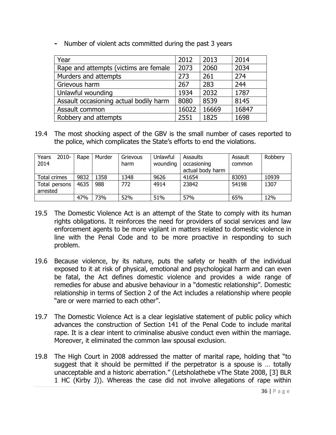| Year                                   | 2012  | 2013  | 2014  |
|----------------------------------------|-------|-------|-------|
| Rape and attempts (victims are female  | 2073  | 2060  | 2034  |
| Murders and attempts                   | 273   | 261   | 274   |
| Grievous harm                          | 267   | 283   | 244   |
| Unlawful wounding                      | 1934  | 2032  | 1787  |
| Assault occasioning actual bodily harm | 8080  | 8539  | 8145  |
| Assault common                         | 16022 | 16669 | 16847 |
| Robbery and attempts                   | 2551  | 1825  | 1698  |

**-** Number of violent acts committed during the past 3 years

19.4 The most shocking aspect of the GBV is the small number of cases reported to the police, which complicates the State's efforts to end the violations.

| $2010 -$<br>Years<br>2014 | Rape | Murder | Grievous<br>harm | Unlawful<br>wounding | Assaults<br>occasioning<br>actual body harm | Assault<br>common | Robbery |
|---------------------------|------|--------|------------------|----------------------|---------------------------------------------|-------------------|---------|
| Total crimes              | 9832 | 1358   | 1348             | 9626                 | 41654                                       | 83093             | 10939   |
| Total persons<br>arrested | 4635 | 988    | 772              | 4914                 | 23842                                       | 54198             | 1307    |
|                           | 47%  | 73%    | 52%              | 51%                  | 57%                                         | 65%               | 12%     |

- 19.5 The Domestic Violence Act is an attempt of the State to comply with its human rights obligations. It reinforces the need for providers of social services and law enforcement agents to be more vigilant in matters related to domestic violence in line with the Penal Code and to be more proactive in responding to such problem.
- 19.6 Because violence, by its nature, puts the safety or health of the individual exposed to it at risk of physical, emotional and psychological harm and can even be fatal, the Act defines domestic violence and provides a wide range of remedies for abuse and abusive behaviour in a "domestic relationship". Domestic relationship in terms of Section 2 of the Act includes a relationship where people "are or were married to each other".
- 19.7 The Domestic Violence Act is a clear legislative statement of public policy which advances the construction of Section 141 of the Penal Code to include marital rape. It is a clear intent to criminalise abusive conduct even within the marriage. Moreover, it eliminated the common law spousal exclusion.
- 19.8 The High Court in 2008 addressed the matter of marital rape, holding that "to suggest that it should be permitted if the perpetrator is a spouse is … totally unacceptable and a historic aberration." (Letsholathebe vThe State 2008, [3] BLR 1 HC (Kirby J)). Whereas the case did not involve allegations of rape within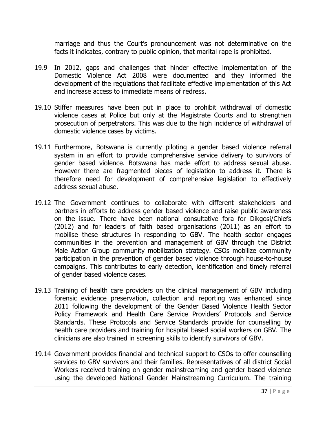marriage and thus the Court's pronouncement was not determinative on the facts it indicates, contrary to public opinion, that marital rape is prohibited.

- 19.9 In 2012, gaps and challenges that hinder effective implementation of the Domestic Violence Act 2008 were documented and they informed the development of the regulations that facilitate effective implementation of this Act and increase access to immediate means of redress.
- 19.10 Stiffer measures have been put in place to prohibit withdrawal of domestic violence cases at Police but only at the Magistrate Courts and to strengthen prosecution of perpetrators. This was due to the high incidence of withdrawal of domestic violence cases by victims.
- 19.11 Furthermore, Botswana is currently piloting a gender based violence referral system in an effort to provide comprehensive service delivery to survivors of gender based violence. Botswana has made effort to address sexual abuse. However there are fragmented pieces of legislation to address it. There is therefore need for development of comprehensive legislation to effectively address sexual abuse.
- 19.12 The Government continues to collaborate with different stakeholders and partners in efforts to address gender based violence and raise public awareness on the issue. There have been national consultative fora for Dikgosi/Chiefs (2012) and for leaders of faith based organisations (2011) as an effort to mobilise these structures in responding to GBV. The health sector engages communities in the prevention and management of GBV through the District Male Action Group community mobilization strategy. CSOs mobilize community participation in the prevention of gender based violence through house-to-house campaigns. This contributes to early detection, identification and timely referral of gender based violence cases.
- 19.13 Training of health care providers on the clinical management of GBV including forensic evidence preservation, collection and reporting was enhanced since 2011 following the development of the Gender Based Violence Health Sector Policy Framework and Health Care Service Providers' Protocols and Service Standards. These Protocols and Service Standards provide for counselling by health care providers and training for hospital based social workers on GBV. The clinicians are also trained in screening skills to identify survivors of GBV.
- 19.14 Government provides financial and technical support to CSOs to offer counselling services to GBV survivors and their families. Representatives of all district Social Workers received training on gender mainstreaming and gender based violence using the developed National Gender Mainstreaming Curriculum. The training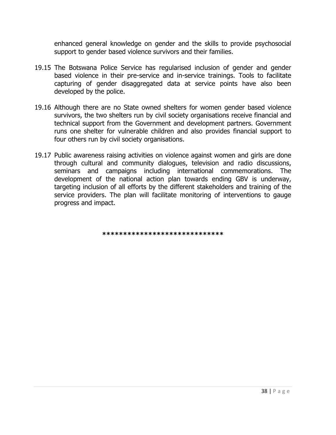enhanced general knowledge on gender and the skills to provide psychosocial support to gender based violence survivors and their families.

- 19.15 The Botswana Police Service has regularised inclusion of gender and gender based violence in their pre-service and in-service trainings. Tools to facilitate capturing of gender disaggregated data at service points have also been developed by the police.
- 19.16 Although there are no State owned shelters for women gender based violence survivors, the two shelters run by civil society organisations receive financial and technical support from the Government and development partners. Government runs one shelter for vulnerable children and also provides financial support to four others run by civil society organisations.
- 19.17 Public awareness raising activities on violence against women and girls are done through cultural and community dialogues, television and radio discussions, seminars and campaigns including international commemorations. The development of the national action plan towards ending GBV is underway, targeting inclusion of all efforts by the different stakeholders and training of the service providers. The plan will facilitate monitoring of interventions to gauge progress and impact.

**\*\*\*\*\*\*\*\*\*\*\*\*\*\*\*\*\*\*\*\*\*\*\*\*\*\*\*\*\***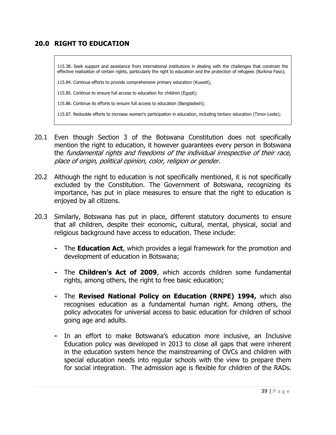## **20.0 RIGHT TO EDUCATION**

115.38. Seek support and assistance from international institutions in dealing with the challenges that constrain the effective realization of certain rights, particularly the right to education and the protection of refugees (Burkina Faso);

115.84. Continue efforts to provide comprehensive primary education (Kuwait);

115.85. Continue to ensure full access to education for children (Egypt);

115.86. Continue its efforts to ensure full access to education (Bangladesh);

115.87. Redouble efforts to increase women's participation in education, including tertiary education (Timor-Leste);

- 20.1 Even though Section 3 of the Botswana Constitution does not specifically mention the right to education, it however guarantees every person in Botswana the fundamental rights and freedoms of the individual irrespective of their race, place of origin, political opinion, color, religion or gender.
- 20.2 Although the right to education is not specifically mentioned, it is not specifically excluded by the Constitution. The Government of Botswana, recognizing its importance, has put in place measures to ensure that the right to education is enjoyed by all citizens.
- 20.3 Similarly, Botswana has put in place, different statutory documents to ensure that all children, despite their economic, cultural, mental, physical, social and religious background have access to education. These include:
	- **-** The **Education Act**, which provides a legal framework for the promotion and development of education in Botswana;
	- **-** The **Children's Act of 2009**, which accords children some fundamental rights, among others, the right to free basic education;
	- **-** The **Revised National Policy on Education (RNPE) 1994,** which also recognises education as a fundamental human right. Among others, the policy advocates for universal access to basic education for children of school going age and adults.
	- **-** In an effort to make Botswana's education more inclusive, an Inclusive Education policy was developed in 2013 to close all gaps that were inherent in the education system hence the mainstreaming of OVCs and children with special education needs into regular schools with the view to prepare them for social integration. The admission age is flexible for children of the RADs.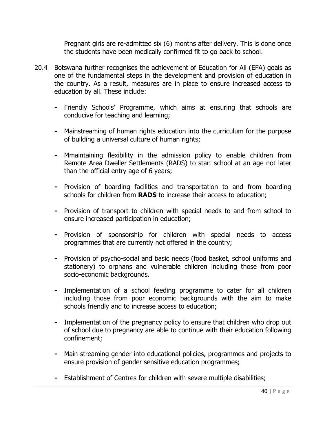Pregnant girls are re-admitted six (6) months after delivery. This is done once the students have been medically confirmed fit to go back to school.

- 20.4 Botswana further recognises the achievement of Education for All (EFA) goals as one of the fundamental steps in the development and provision of education in the country. As a result, measures are in place to ensure increased access to education by all. These include:
	- **-** Friendly Schools' Programme, which aims at ensuring that schools are conducive for teaching and learning;
	- **-** Mainstreaming of human rights education into the curriculum for the purpose of building a universal culture of human rights;
	- **-** Mmaintaining flexibility in the admission policy to enable children from Remote Area Dweller Settlements (RADS) to start school at an age not later than the official entry age of 6 years;
	- **-** Provision of boarding facilities and transportation to and from boarding schools for children from **RADS** to increase their access to education;
	- **-** Provision of transport to children with special needs to and from school to ensure increased participation in education;
	- **-** Provision of sponsorship for children with special needs to access programmes that are currently not offered in the country;
	- **-** Provision of psycho-social and basic needs (food basket, school uniforms and stationery) to orphans and vulnerable children including those from poor socio-economic backgrounds.
	- **-** Implementation of a school feeding programme to cater for all children including those from poor economic backgrounds with the aim to make schools friendly and to increase access to education;
	- **-** Implementation of the pregnancy policy to ensure that children who drop out of school due to pregnancy are able to continue with their education following confinement;
	- **-** Main streaming gender into educational policies, programmes and projects to ensure provision of gender sensitive education programmes;
	- **-** Establishment of Centres for children with severe multiple disabilities;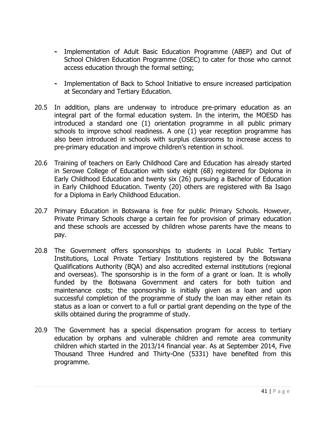- **-** Implementation of Adult Basic Education Programme (ABEP) and Out of School Children Education Programme (OSEC) to cater for those who cannot access education through the formal setting;
- **-** Implementation of Back to School Initiative to ensure increased participation at Secondary and Tertiary Education.
- 20.5 In addition, plans are underway to introduce pre-primary education as an integral part of the formal education system. In the interim, the MOESD has introduced a standard one (1) orientation programme in all public primary schools to improve school readiness. A one (1) year reception programme has also been introduced in schools with surplus classrooms to increase access to pre-primary education and improve children's retention in school.
- 20.6 Training of teachers on Early Childhood Care and Education has already started in Serowe College of Education with sixty eight (68) registered for Diploma in Early Childhood Education and twenty six (26) pursuing a Bachelor of Education in Early Childhood Education. Twenty (20) others are registered with Ba Isago for a Diploma in Early Childhood Education.
- 20.7 Primary Education in Botswana is free for public Primary Schools. However, Private Primary Schools charge a certain fee for provision of primary education and these schools are accessed by children whose parents have the means to pay.
- 20.8 The Government offers sponsorships to students in Local Public Tertiary Institutions, Local Private Tertiary Institutions registered by the Botswana Qualifications Authority (BQA) and also accredited external institutions (regional and overseas). The sponsorship is in the form of a grant or loan. It is wholly funded by the Botswana Government and caters for both tuition and maintenance costs; the sponsorship is initially given as a loan and upon successful completion of the programme of study the loan may either retain its status as a loan or convert to a full or partial grant depending on the type of the skills obtained during the programme of study.
- 20.9 The Government has a special dispensation program for access to tertiary education by orphans and vulnerable children and remote area community children which started in the 2013/14 financial year. As at September 2014, Five Thousand Three Hundred and Thirty-One (5331) have benefited from this programme.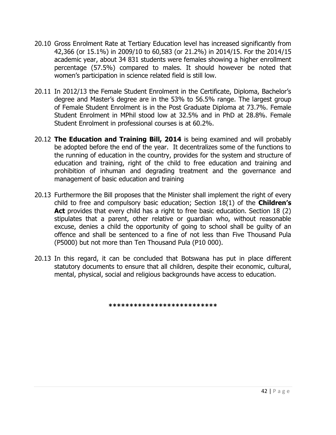- 20.10 Gross Enrolment Rate at Tertiary Education level has increased significantly from 42,366 (or 15.1%) in 2009/10 to 60,583 (or 21.2%) in 2014/15. For the 2014/15 academic year, about 34 831 students were females showing a higher enrollment percentage (57.5%) compared to males. It should however be noted that women's participation in science related field is still low.
- 20.11 In 2012/13 the Female Student Enrolment in the Certificate, Diploma, Bachelor's degree and Master's degree are in the 53% to 56.5% range. The largest group of Female Student Enrolment is in the Post Graduate Diploma at 73.7%. Female Student Enrolment in MPhil stood low at 32.5% and in PhD at 28.8%. Female Student Enrolment in professional courses is at 60.2%.
- 20.12 **The Education and Training Bill, 2014** is being examined and will probably be adopted before the end of the year. It decentralizes some of the functions to the running of education in the country, provides for the system and structure of education and training, right of the child to free education and training and prohibition of inhuman and degrading treatment and the governance and management of basic education and training
- 20.13 Furthermore the Bill proposes that the Minister shall implement the right of every child to free and compulsory basic education; Section 18(1) of the **Children's**  Act provides that every child has a right to free basic education. Section 18 (2) stipulates that a parent, other relative or guardian who, without reasonable excuse, denies a child the opportunity of going to school shall be guilty of an offence and shall be sentenced to a fine of not less than Five Thousand Pula (P5000) but not more than Ten Thousand Pula (P10 000).
- 20.13 In this regard, it can be concluded that Botswana has put in place different statutory documents to ensure that all children, despite their economic, cultural, mental, physical, social and religious backgrounds have access to education.

**\*\*\*\*\*\*\*\*\*\*\*\*\*\*\*\*\*\*\*\*\*\*\*\*\*\***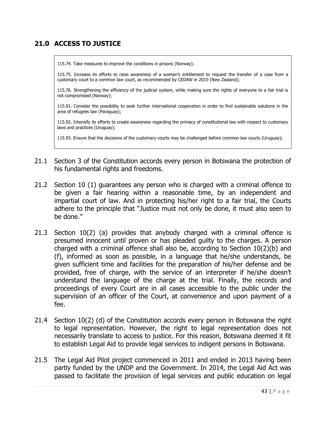## **21.0 ACCESS TO JUSTICE**

115.74. Take measures to improve the conditions in prisons (Norway);

115.75. Increase its efforts to raise awareness of a woman's entitlement to request the transfer of a case from a customary court to a common law court, as recommended by CEDAW in 2010 (New Zealand);

115.76. Strengthening the efficiency of the judicial system, while making sure the rights of everyone to a fair trial is not compromised (Norway);

115.91. Consider the possibility to seek further international cooperation in order to find sustainable solutions in the area of refugees law (Paraguay);

115.92. Intensify its efforts to create awareness regarding the primacy of constitutional law with respect to customary laws and practices (Uruguay);

115.93. Ensure that the decisions of the customary courts may be challenged before common law courts (Uruguay);

- 21.1 Section 3 of the Constitution accords every person in Botswana the protection of his fundamental rights and freedoms.
- 21.2 Section 10 (1) guarantees any person who is charged with a criminal offence to be given a fair hearing within a reasonable time, by an independent and impartial court of law. And in protecting his/her right to a fair trial, the Courts adhere to the principle that "Justice must not only be done, it must also seen to be done."
- 21.3 Section 10(2) (a) provides that anybody charged with a criminal offence is presumed innocent until proven or has pleaded guilty to the charges. A person charged with a criminal offence shall also be, according to Section 10(2)(b) and (f), informed as soon as possible, in a language that he/she understands, be given sufficient time and facilities for the preparation of his/her defense and be provided, free of charge, with the service of an interpreter if he/she doesn't understand the language of the charge at the trial. Finally, the records and proceedings of every Court are in all cases accessible to the public under the supervision of an officer of the Court, at convenience and upon payment of a fee.
- 21.4 Section 10(2) (d) of the Constitution accords every person in Botswana the right to legal representation. However, the right to legal representation does not necessarily translate to access to justice. For this reason, Botswana deemed it fit to establish Legal Aid to provide legal services to indigent persons in Botswana.
- 21.5 The Legal Aid Pilot project commenced in 2011 and ended in 2013 having been partly funded by the UNDP and the Government. In 2014, the Legal Aid Act was passed to facilitate the provision of legal services and public education on legal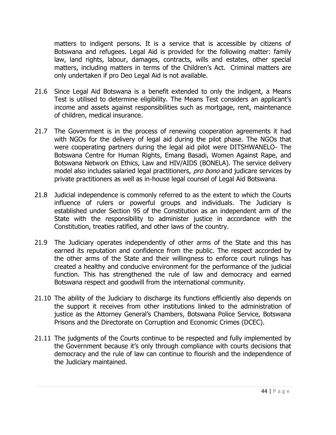matters to indigent persons. It is a service that is accessible by citizens of Botswana and refugees. Legal Aid is provided for the following matter: family law, land rights, labour, damages, contracts, wills and estates, other special matters, including matters in terms of the Children's Act. Criminal matters are only undertaken if pro Deo Legal Aid is not available.

- 21.6 Since Legal Aid Botswana is a benefit extended to only the indigent, a Means Test is utilised to determine eligibility. The Means Test considers an applicant's income and assets against responsibilities such as mortgage, rent, maintenance of children, medical insurance.
- 21.7 The Government is in the process of renewing cooperation agreements it had with NGOs for the delivery of legal aid during the pilot phase. The NGOs that were cooperating partners during the legal aid pilot were DITSHWANELO- The Botswana Centre for Human Rights, Emang Basadi, Women Against Rape, and Botswana Network on Ethics, Law and HIV/AIDS (BONELA). The service delivery model also includes salaried legal practitioners, pro bono and judicare services by private practitioners as well as in-house legal counsel of Legal Aid Botswana.
- 21.8 Judicial independence is commonly referred to as the extent to which the Courts influence of rulers or powerful groups and individuals. The Judiciary is established under Section 95 of the Constitution as an independent arm of the State with the responsibility to administer justice in accordance with the Constitution, treaties ratified, and other laws of the country.
- 21.9 The Judiciary operates independently of other arms of the State and this has earned its reputation and confidence from the public. The respect accorded by the other arms of the State and their willingness to enforce court rulings has created a healthy and conducive environment for the performance of the judicial function. This has strengthened the rule of law and democracy and earned Botswana respect and goodwill from the international community.
- 21.10 The ability of the Judiciary to discharge its functions efficiently also depends on the support it receives from other institutions linked to the administration of justice as the Attorney General's Chambers, Botswana Police Service, Botswana Prisons and the Directorate on Corruption and Economic Crimes (DCEC).
- 21.11 The judgments of the Courts continue to be respected and fully implemented by the Government because it's only through compliance with courts decisions that democracy and the rule of law can continue to flourish and the independence of the Judiciary maintained.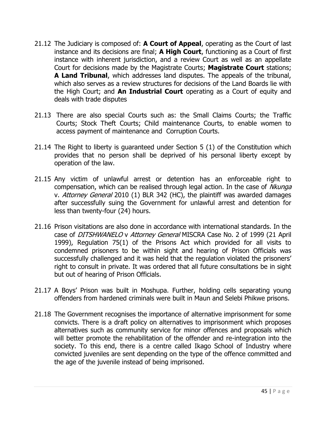- 21.12 The Judiciary is composed of: **A Court of Appeal**, operating as the Court of last instance and its decisions are final; **A High Court**, functioning as a Court of first instance with inherent jurisdiction, and a review Court as well as an appellate Court for decisions made by the Magistrate Courts; **Magistrate Court** stations; **A Land Tribunal**, which addresses land disputes. The appeals of the tribunal, which also serves as a review structures for decisions of the Land Boards lie with the High Court; and **An Industrial Court** operating as a Court of equity and deals with trade disputes
- 21.13 There are also special Courts such as: the Small Claims Courts; the Traffic Courts; Stock Theft Courts; Child maintenance Courts, to enable women to access payment of maintenance and Corruption Courts.
- 21.14 The Right to liberty is guaranteed under Section 5 (1) of the Constitution which provides that no person shall be deprived of his personal liberty except by operation of the law.
- 21.15 Any victim of unlawful arrest or detention has an enforceable right to compensation, which can be realised through legal action. In the case of Nkunga v. Attorney General 2010 (1) BLR 342 (HC), the plaintiff was awarded damages after successfully suing the Government for unlawful arrest and detention for less than twenty-four (24) hours.
- 21.16 Prison visitations are also done in accordance with international standards. In the case of DITSHWANELO v Attorney General MISCRA Case No. 2 of 1999 (21 April 1999), Regulation 75(1) of the Prisons Act which provided for all visits to condemned prisoners to be within sight and hearing of Prison Officials was successfully challenged and it was held that the regulation violated the prisoners' right to consult in private. It was ordered that all future consultations be in sight but out of hearing of Prison Officials.
- 21.17 A Boys' Prison was built in Moshupa. Further, holding cells separating young offenders from hardened criminals were built in Maun and Selebi Phikwe prisons.
- 21.18 The Government recognises the importance of alternative imprisonment for some convicts. There is a draft policy on alternatives to imprisonment which proposes alternatives such as community service for minor offences and proposals which will better promote the rehabilitation of the offender and re-integration into the society. To this end, there is a centre called Ikago School of Industry where convicted juveniles are sent depending on the type of the offence committed and the age of the juvenile instead of being imprisoned.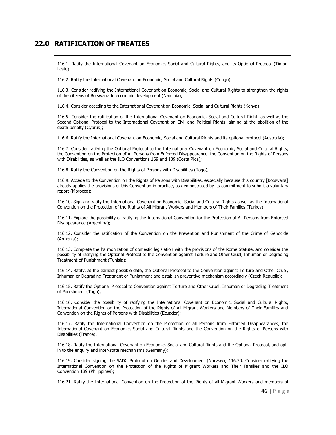#### **22.0 RATIFICATION OF TREATIES**

116.1. Ratify the International Covenant on Economic, Social and Cultural Rights, and its Optional Protocol (Timor-Leste);

116.2. Ratify the International Covenant on Economic, Social and Cultural Rights (Congo);

116.3. Consider ratifying the International Covenant on Economic, Social and Cultural Rights to strengthen the rights of the citizens of Botswana to economic development (Namibia);

116.4. Consider acceding to the International Covenant on Economic, Social and Cultural Rights (Kenya);

116.5. Consider the ratification of the International Covenant on Economic, Social and Cultural Right, as well as the Second Optional Protocol to the International Covenant on Civil and Political Rights, aiming at the abolition of the death penalty (Cyprus);

116.6. Ratify the International Covenant on Economic, Social and Cultural Rights and its optional protocol (Australia);

116.7. Consider ratifying the Optional Protocol to the International Covenant on Economic, Social and Cultural Rights, the Convention on the Protection of All Persons from Enforced Disappearance, the Convention on the Rights of Persons with Disabilities, as well as the ILO Conventions 169 and 189 (Costa Rica);

116.8. Ratify the Convention on the Rights of Persons with Disabilities (Togo);

116.9. Accede to the Convention on the Rights of Persons with Disabilities, especially because this country [Botswana] already applies the provisions of this Convention in practice, as demonstrated by its commitment to submit a voluntary report (Morocco);

116.10. Sign and ratify the International Covenant on Economic, Social and Cultural Rights as well as the International Convention on the Protection of the Rights of All Migrant Workers and Members of Their Families (Turkey);

116.11. Explore the possibility of ratifying the International Convention for the Protection of All Persons from Enforced Disappearance (Argentina);

116.12. Consider the ratification of the Convention on the Prevention and Punishment of the Crime of Genocide (Armenia);

116.13. Complete the harmonization of domestic legislation with the provisions of the Rome Statute, and consider the possibility of ratifying the Optional Protocol to the Convention against Torture and Other Cruel, Inhuman or Degrading Treatment of Punishment (Tunisia);

116.14. Ratify, at the earliest possible date, the Optional Protocol to the Convention against Torture and Other Cruel, Inhuman or Degrading Treatment or Punishment and establish preventive mechanism accordingly (Czech Republic);

116.15. Ratify the Optional Protocol to Convention against Torture and Other Cruel, Inhuman or Degrading Treatment of Punishment (Togo);

116.16. Consider the possibility of ratifying the International Covenant on Economic, Social and Cultural Rights, International Convention on the Protection of the Rights of All Migrant Workers and Members of Their Families and Convention on the Rights of Persons with Disabilities (Ecuador);

116.17. Ratify the International Convention on the Protection of all Persons from Enforced Disappearances, the International Covenant on Economic, Social and Cultural Rights and the Convention on the Rights of Persons with Disabilities (France);

116.18. Ratify the International Covenant on Economic, Social and Cultural Rights and the Optional Protocol, and optin to the enquiry and inter-state mechanisms (Germany);

116.19. Consider signing the SADC Protocol on Gender and Development (Norway); 116.20. Consider ratifying the International Convention on the Protection of the Rights of Migrant Workers and Their Families and the ILO Convention 189 (Philippines);

116.21. Ratify the International Convention on the Protection of the Rights of all Migrant Workers and members of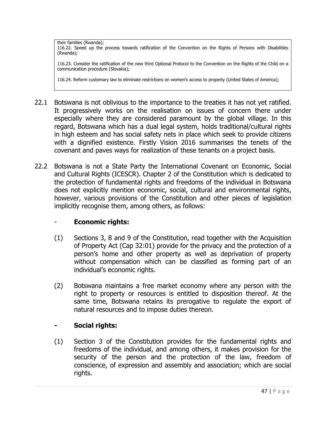their families (Rwanda); 116.22. Speed up the process towards ratification of the Convention on the Rights of Persons with Disabilities (Rwanda);

116.23. Consider the ratification of the new third Optional Protocol to the Convention on the Rights of the Child on a communication procedure (Slovakia);

116.24. Reform customary law to eliminate restrictions on women's access to property (United States of America);

- 22.1 Botswana is not oblivious to the importance to the treaties it has not yet ratified. It progressively works on the realisation on issues of concern there under especially where they are considered paramount by the global village. In this regard, Botswana which has a dual legal system, holds traditional/cultural rights in high esteem and has social safety nets in place which seek to provide citizens with a dignified existence. Firstly Vision 2016 summarises the tenets of the covenant and paves ways for realization of these tenants on a project basis.
- 22.2 Botswana is not a State Party the International Covenant on Economic, Social and Cultural Rights (ICESCR). Chapter 2 of the Constitution which is dedicated to the protection of fundamental rights and freedoms of the individual in Botswana does not explicitly mention economic, social, cultural and environmental rights, however, various provisions of the Constitution and other pieces of legislation implicitly recognise them, among others, as follows:

#### - **Economic rights:**

- (1) Sections 3, 8 and 9 of the Constitution, read together with the Acquisition of Property Act (Cap 32:01) provide for the privacy and the protection of a person's home and other property as well as deprivation of property without compensation which can be classified as forming part of an individual's economic rights.
- (2) Botswana maintains a free market economy where any person with the right to property or resources is entitled to disposition thereof. At the same time, Botswana retains its prerogative to regulate the export of natural resources and to impose duties thereon.

#### **- Social rights:**

(1) Section 3 of the Constitution provides for the fundamental rights and freedoms of the individual, and among others, it makes provision for the security of the person and the protection of the law, freedom of conscience, of expression and assembly and association; which are social rights.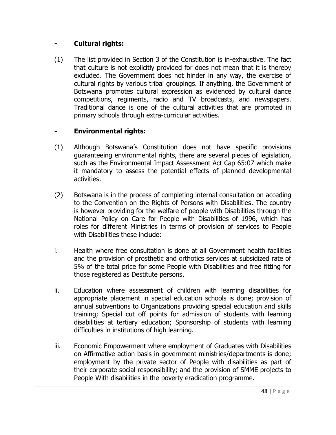### **- Cultural rights:**

(1) The list provided in Section 3 of the Constitution is in-exhaustive. The fact that culture is not explicitly provided for does not mean that it is thereby excluded. The Government does not hinder in any way, the exercise of cultural rights by various tribal groupings. If anything, the Government of Botswana promotes cultural expression as evidenced by cultural dance competitions, regiments, radio and TV broadcasts, and newspapers. Traditional dance is one of the cultural activities that are promoted in primary schools through extra-curricular activities.

## **- Environmental rights:**

- (1) Although Botswana's Constitution does not have specific provisions guaranteeing environmental rights, there are several pieces of legislation, such as the Environmental Impact Assessment Act Cap 65:07 which make it mandatory to assess the potential effects of planned developmental activities.
- (2) Botswana is in the process of completing internal consultation on acceding to the Convention on the Rights of Persons with Disabilities. The country is however providing for the welfare of people with Disabilities through the National Policy on Care for People with Disabilities of 1996, which has roles for different Ministries in terms of provision of services to People with Disabilities these include:
- i. Health where free consultation is done at all Government health facilities and the provision of prosthetic and orthotics services at subsidized rate of 5% of the total price for some People with Disabilities and free fitting for those registered as Destitute persons.
- ii. Education where assessment of children with learning disabilities for appropriate placement in special education schools is done; provision of annual subventions to Organizations providing special education and skills training; Special cut off points for admission of students with learning disabilities at tertiary education; Sponsorship of students with learning difficulties in institutions of high learning.
- iii. Economic Empowerment where employment of Graduates with Disabilities on Affirmative action basis in government ministries/departments is done; employment by the private sector of People with disabilities as part of their corporate social responsibility; and the provision of SMME projects to People With disabilities in the poverty eradication programme.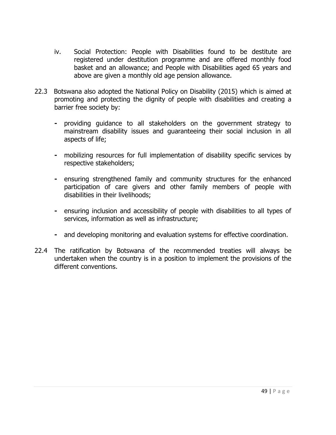- iv. Social Protection: People with Disabilities found to be destitute are registered under destitution programme and are offered monthly food basket and an allowance; and People with Disabilities aged 65 years and above are given a monthly old age pension allowance.
- 22.3Botswana also adopted the National Policy on Disability (2015) which is aimed at promoting and protecting the dignity of people with disabilities and creating a barrier free society by:
	- **-** providing guidance to all stakeholders on the government strategy to mainstream disability issues and guaranteeing their social inclusion in all aspects of life;
	- **-** mobilizing resources for full implementation of disability specific services by respective stakeholders;
	- **-** ensuring strengthened family and community structures for the enhanced participation of care givers and other family members of people with disabilities in their livelihoods;
	- **-** ensuring inclusion and accessibility of people with disabilities to all types of services, information as well as infrastructure;
	- **-** and developing monitoring and evaluation systems for effective coordination.
- 22.4 The ratification by Botswana of the recommended treaties will always be undertaken when the country is in a position to implement the provisions of the different conventions.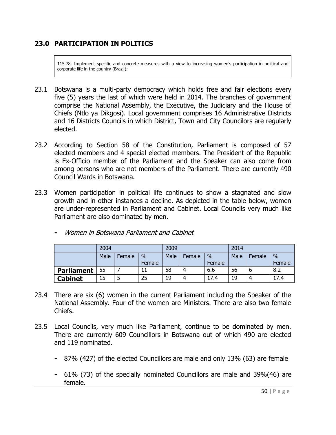## **23.0 PARTICIPATION IN POLITICS**

115.78. Implement specific and concrete measures with a view to increasing women's participation in political and corporate life in the country (Brazil);

- 23.1 Botswana is a multi-party democracy which holds free and fair elections every five (5) years the last of which were held in 2014. The branches of government comprise the National Assembly, the Executive, the Judiciary and the House of Chiefs (Ntlo ya Dikgosi). Local government comprises 16 Administrative Districts and 16 Districts Councils in which District, Town and City Councilors are regularly elected.
- 23.2 According to Section 58 of the Constitution, Parliament is composed of 57 elected members and 4 special elected members. The President of the Republic is Ex-Officio member of the Parliament and the Speaker can also come from among persons who are not members of the Parliament. There are currently 490 Council Wards in Botswana.
- 23.3 Women participation in political life continues to show a stagnated and slow growth and in other instances a decline. As depicted in the table below, women are under-represented in Parliament and Cabinet. Local Councils very much like Parliament are also dominated by men.

|                   | 2004 |        |        | 2009 |        |               | 2014 |        |               |
|-------------------|------|--------|--------|------|--------|---------------|------|--------|---------------|
|                   | Male | Female | $\%$   | Male | Female | $\frac{0}{0}$ | Male | Female | $\frac{0}{0}$ |
|                   |      |        | Female |      |        | Female        |      |        | Female        |
| <b>Parliament</b> | 55   |        |        | 58   | 4      | 6.6           | 56   |        | 8.2           |
| <b>Cabinet</b>    | 15   |        | 25     | 19   | 4      | 17.4          | 19   |        | 17.4          |

**-** Women in Botswana Parliament and Cabinet

- 23.4 There are six (6) women in the current Parliament including the Speaker of the National Assembly. Four of the women are Ministers. There are also two female Chiefs.
- 23.5 Local Councils, very much like Parliament, continue to be dominated by men. There are currently 609 Councillors in Botswana out of which 490 are elected and 119 nominated.
	- **-** 87% (427) of the elected Councillors are male and only 13% (63) are female
	- **-** 61% (73) of the specially nominated Councillors are male and 39%(46) are female.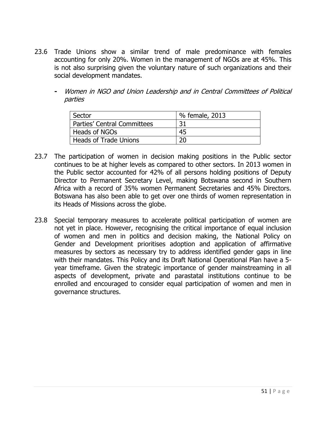- 23.6 Trade Unions show a similar trend of male predominance with females accounting for only 20%. Women in the management of NGOs are at 45%. This is not also surprising given the voluntary nature of such organizations and their social development mandates.
	- **-** Women in NGO and Union Leadership and in Central Committees of Political parties

| Sector                       | % female, 2013 |  |  |  |
|------------------------------|----------------|--|--|--|
| Parties' Central Committees  | 31             |  |  |  |
| Heads of NGOs                | 45             |  |  |  |
| <b>Heads of Trade Unions</b> | 20             |  |  |  |

- 23.7 The participation of women in decision making positions in the Public sector continues to be at higher levels as compared to other sectors. In 2013 women in the Public sector accounted for 42% of all persons holding positions of Deputy Director to Permanent Secretary Level, making Botswana second in Southern Africa with a record of 35% women Permanent Secretaries and 45% Directors. Botswana has also been able to get over one thirds of women representation in its Heads of Missions across the globe.
- 23.8 Special temporary measures to accelerate political participation of women are not yet in place. However, recognising the critical importance of equal inclusion of women and men in politics and decision making, the National Policy on Gender and Development prioritises adoption and application of affirmative measures by sectors as necessary try to address identified gender gaps in line with their mandates. This Policy and its Draft National Operational Plan have a 5 year timeframe. Given the strategic importance of gender mainstreaming in all aspects of development, private and parastatal institutions continue to be enrolled and encouraged to consider equal participation of women and men in governance structures.